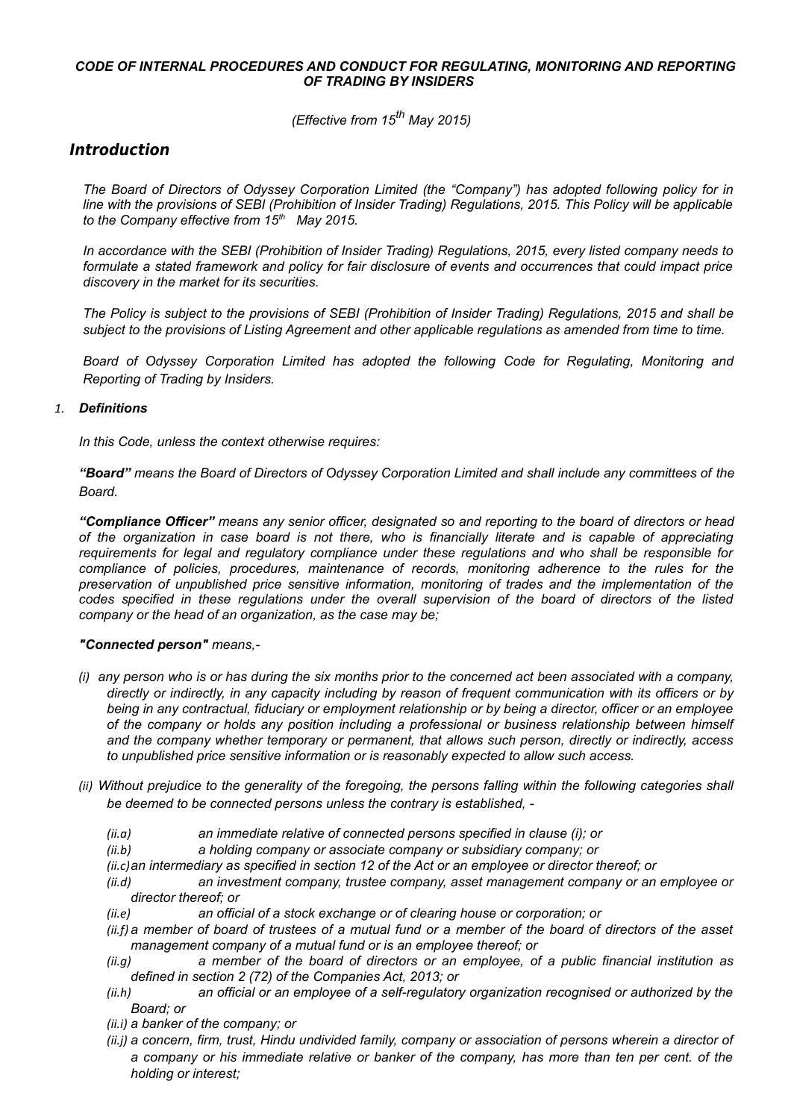# *CODE OF INTERNAL PROCEDURES AND CONDUCT FOR REGULATING, MONITORING AND REPORTING OF TRADING BY INSIDERS*

*(Effective from 15th May 2015)*

# **Introduction**

*The Board of Directors of Odyssey Corporation Limited (the "Company") has adopted following policy for in line with the provisions of SEBI (Prohibition of Insider Trading) Regulations, 2015. This Policy will be applicable to the Company effective from 15th May 2015.*

*In accordance with the SEBI (Prohibition of Insider Trading) Regulations, 2015, every listed company needs to formulate a stated framework and policy for fair disclosure of events and occurrences that could impact price discovery in the market for its securities.*

*The Policy is subject to the provisions of SEBI (Prohibition of Insider Trading) Regulations, 2015 and shall be subject to the provisions of Listing Agreement and other applicable regulations as amended from time to time.*

*Board of Odyssey Corporation Limited has adopted the following Code for Regulating, Monitoring and Reporting of Trading by Insiders.* 

# *1. Definitions*

*In this Code, unless the context otherwise requires:* 

*"Board" means the Board of Directors of Odyssey Corporation Limited and shall include any committees of the Board.* 

*"Compliance Officer" means any senior officer, designated so and reporting to the board of directors or head of the organization in case board is not there, who is financially literate and is capable of appreciating requirements for legal and regulatory compliance under these regulations and who shall be responsible for compliance of policies, procedures, maintenance of records, monitoring adherence to the rules for the preservation of unpublished price sensitive information, monitoring of trades and the implementation of the codes specified in these regulations under the overall supervision of the board of directors of the listed company or the head of an organization, as the case may be;* 

# *"Connected person" means,-*

- *(i) any person who is or has during the six months prior to the concerned act been associated with a company, directly or indirectly, in any capacity including by reason of frequent communication with its officers or by being in any contractual, fiduciary or employment relationship or by being a director, officer or an employee of the company or holds any position including a professional or business relationship between himself and the company whether temporary or permanent, that allows such person, directly or indirectly, access to unpublished price sensitive information or is reasonably expected to allow such access.*
- *(ii) Without prejudice to the generality of the foregoing, the persons falling within the following categories shall be deemed to be connected persons unless the contrary is established, -* 
	- *(ii.a) an immediate relative of connected persons specified in clause (i); or*
	- *(ii.b) a holding company or associate company or subsidiary company; or*
	- *(ii.c)an intermediary as specified in section 12 of the Act or an employee or director thereof; or*
	- *(ii.d) an investment company, trustee company, asset management company or an employee or director thereof; or*
	- *(ii.e) an official of a stock exchange or of clearing house or corporation; or*
	- *(ii.f)a member of board of trustees of a mutual fund or a member of the board of directors of the asset management company of a mutual fund or is an employee thereof; or*
	- *(ii.g) a member of the board of directors or an employee, of a public financial institution as defined in section 2 (72) of the Companies Act, 2013; or*
	- *(ii.h) an official or an employee of a self-regulatory organization recognised or authorized by the Board; or*
	- *(ii.i) a banker of the company; or*
	- *(ii.j) a concern, firm, trust, Hindu undivided family, company or association of persons wherein a director of a company or his immediate relative or banker of the company, has more than ten per cent. of the holding or interest;*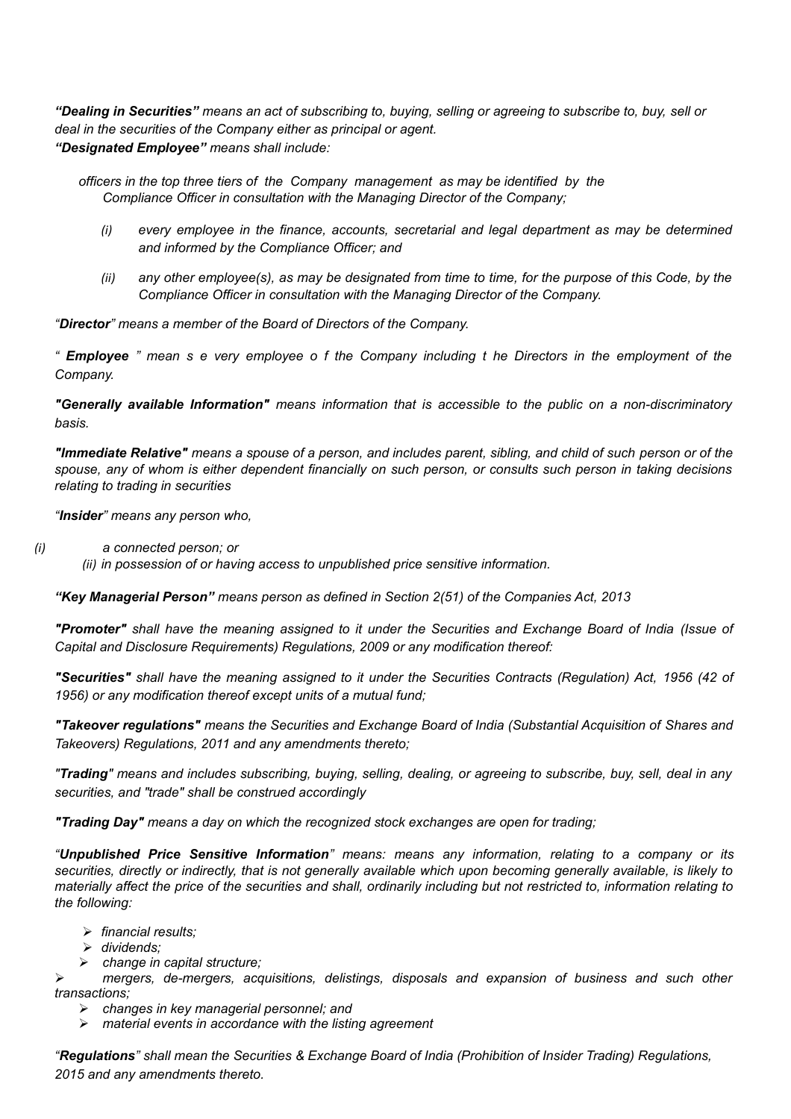*"Dealing in Securities" means an act of subscribing to, buying, selling or agreeing to subscribe to, buy, sell or deal in the securities of the Company either as principal or agent. "Designated Employee" means shall include:*

*officers in the top three tiers of the Company management as may be identified by the Compliance Officer in consultation with the Managing Director of the Company;*

- *(i) every employee in the finance, accounts, secretarial and legal department as may be determined and informed by the Compliance Officer; and*
- *(ii) any other employee(s), as may be designated from time to time, for the purpose of this Code, by the Compliance Officer in consultation with the Managing Director of the Company.*

*"Director" means a member of the Board of Directors of the Company.*

*" Employee " mean s e very employee o f the Company including t he Directors in the employment of the Company.*

*"Generally available Information" means information that is accessible to the public on a non-discriminatory basis.*

*"Immediate Relative" means a spouse of a person, and includes parent, sibling, and child of such person or of the spouse, any of whom is either dependent financially on such person, or consults such person in taking decisions relating to trading in securities*

*"Insider" means any person who,*

- *(i) a connected person; or* 
	- *(ii) in possession of or having access to unpublished price sensitive information.*

*"Key Managerial Person" means person as defined in Section 2(51) of the Companies Act, 2013*

*"Promoter" shall have the meaning assigned to it under the Securities and Exchange Board of India (Issue of Capital and Disclosure Requirements) Regulations, 2009 or any modification thereof:*

*"Securities" shall have the meaning assigned to it under the Securities Contracts (Regulation) Act, 1956 (42 of 1956) or any modification thereof except units of a mutual fund;*

*"Takeover regulations" means the Securities and Exchange Board of India (Substantial Acquisition of Shares and Takeovers) Regulations, 2011 and any amendments thereto;*

*"Trading" means and includes subscribing, buying, selling, dealing, or agreeing to subscribe, buy, sell, deal in any securities, and "trade" shall be construed accordingly*

*"Trading Day" means a day on which the recognized stock exchanges are open for trading;*

*"Unpublished Price Sensitive Information" means: means any information, relating to a company or its securities, directly or indirectly, that is not generally available which upon becoming generally available, is likely to materially affect the price of the securities and shall, ordinarily including but not restricted to, information relating to the following:*

- *financial results;*
- *dividends;*
- *change in capital structure;*

 *mergers, de-mergers, acquisitions, delistings, disposals and expansion of business and such other transactions;* 

- *changes in key managerial personnel; and*
- *material events in accordance with the listing agreement*

*"Regulations" shall mean the Securities & Exchange Board of India (Prohibition of Insider Trading) Regulations, 2015 and any amendments thereto.*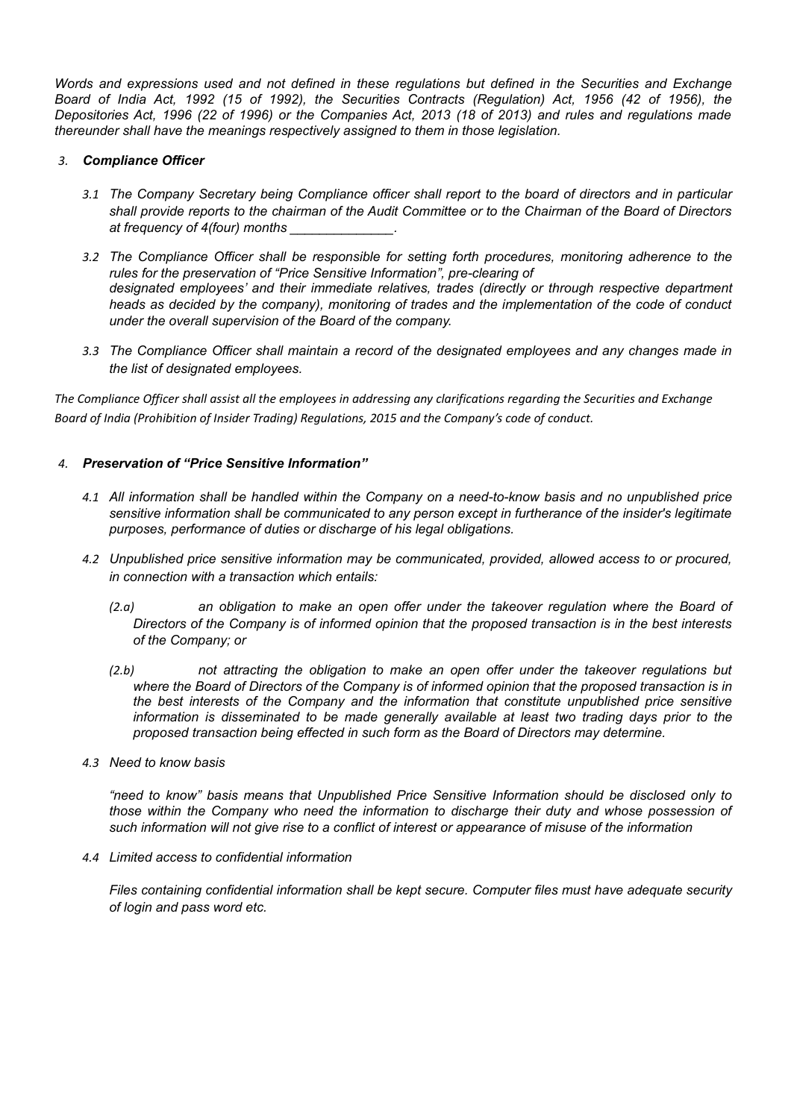*Words and expressions used and not defined in these regulations but defined in the Securities and Exchange Board of India Act, 1992 (15 of 1992), the Securities Contracts (Regulation) Act, 1956 (42 of 1956), the Depositories Act, 1996 (22 of 1996) or the Companies Act, 2013 (18 of 2013) and rules and regulations made thereunder shall have the meanings respectively assigned to them in those legislation.*

### *3. Compliance Officer*

- *3.1 The Company Secretary being Compliance officer shall report to the board of directors and in particular shall provide reports to the chairman of the Audit Committee or to the Chairman of the Board of Directors at frequency of 4(four) months \_\_\_\_\_\_\_\_\_\_\_\_\_\_.*
- *3.2 The Compliance Officer shall be responsible for setting forth procedures, monitoring adherence to the rules for the preservation of "Price Sensitive Information", pre-clearing of designated employees' and their immediate relatives, trades (directly or through respective department heads as decided by the company), monitoring of trades and the implementation of the code of conduct under the overall supervision of the Board of the company.*
- *3.3 The Compliance Officer shall maintain a record of the designated employees and any changes made in the list of designated employees.*

*The Compliance Officer shall assist all the employees in addressing any clarifications regarding the Securities and Exchange Board of India (Prohibition of Insider Trading) Regulations, 2015 and the Company's code of conduct.* 

### *4. Preservation of "Price Sensitive Information"*

- *4.1 All information shall be handled within the Company on a need-to-know basis and no unpublished price sensitive information shall be communicated to any person except in furtherance of the insider's legitimate purposes, performance of duties or discharge of his legal obligations.*
- *4.2 Unpublished price sensitive information may be communicated, provided, allowed access to or procured, in connection with a transaction which entails:* 
	- *(2.a) an obligation to make an open offer under the takeover regulation where the Board of Directors of the Company is of informed opinion that the proposed transaction is in the best interests of the Company; or*
	- *(2.b) not attracting the obligation to make an open offer under the takeover regulations but where the Board of Directors of the Company is of informed opinion that the proposed transaction is in the best interests of the Company and the information that constitute unpublished price sensitive information is disseminated to be made generally available at least two trading days prior to the proposed transaction being effected in such form as the Board of Directors may determine.*
- *4.3 Need to know basis*

*"need to know" basis means that Unpublished Price Sensitive Information should be disclosed only to those within the Company who need the information to discharge their duty and whose possession of such information will not give rise to a conflict of interest or appearance of misuse of the information* 

*4.4 Limited access to confidential information* 

*Files containing confidential information shall be kept secure. Computer files must have adequate security of login and pass word etc.*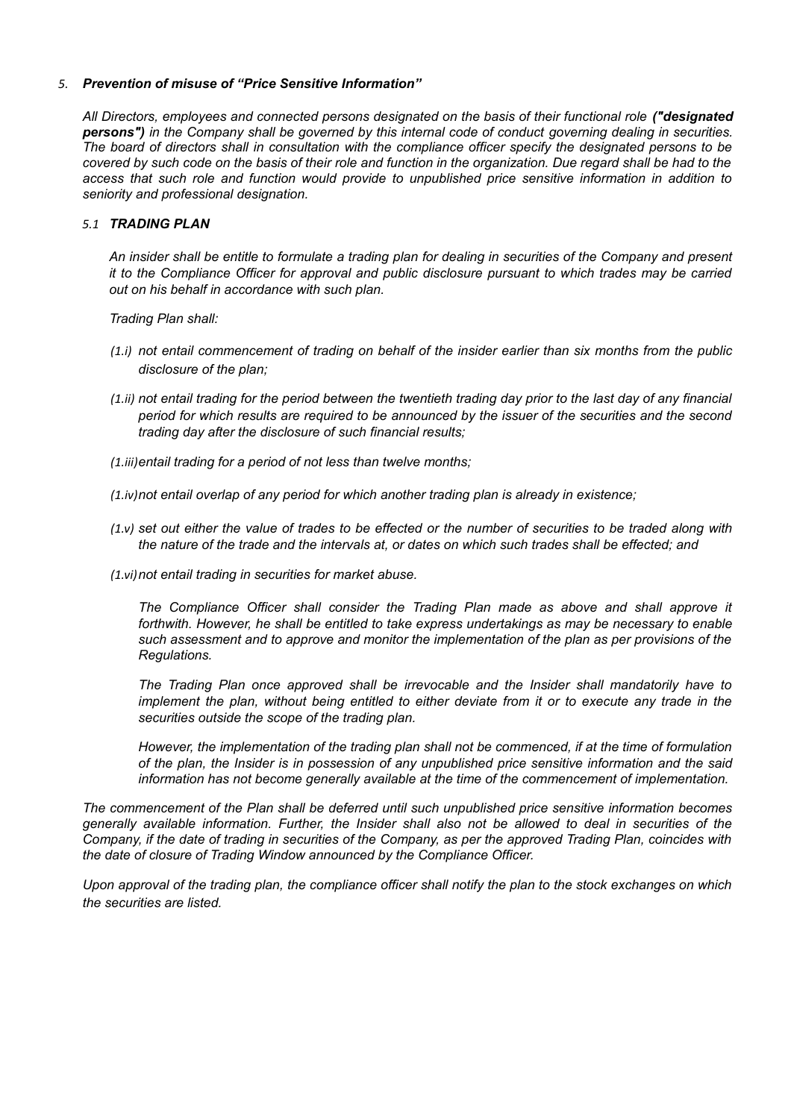### *5. Prevention of misuse of "Price Sensitive Information"*

*All Directors, employees and connected persons designated on the basis of their functional role ("designated persons") in the Company shall be governed by this internal code of conduct governing dealing in securities. The board of directors shall in consultation with the compliance officer specify the designated persons to be covered by such code on the basis of their role and function in the organization. Due regard shall be had to the access that such role and function would provide to unpublished price sensitive information in addition to seniority and professional designation.* 

### *5.1 TRADING PLAN*

*An insider shall be entitle to formulate a trading plan for dealing in securities of the Company and present it to the Compliance Officer for approval and public disclosure pursuant to which trades may be carried out on his behalf in accordance with such plan.* 

*Trading Plan shall:* 

- *(1.i) not entail commencement of trading on behalf of the insider earlier than six months from the public disclosure of the plan;*
- *(1.ii) not entail trading for the period between the twentieth trading day prior to the last day of any financial period for which results are required to be announced by the issuer of the securities and the second trading day after the disclosure of such financial results;*
- *(1.iii)entail trading for a period of not less than twelve months;*
- *(1.iv)not entail overlap of any period for which another trading plan is already in existence;*
- *(1.v) set out either the value of trades to be effected or the number of securities to be traded along with the nature of the trade and the intervals at, or dates on which such trades shall be effected; and*
- *(1.vi)not entail trading in securities for market abuse.*

*The Compliance Officer shall consider the Trading Plan made as above and shall approve it forthwith. However, he shall be entitled to take express undertakings as may be necessary to enable such assessment and to approve and monitor the implementation of the plan as per provisions of the Regulations.* 

*The Trading Plan once approved shall be irrevocable and the Insider shall mandatorily have to implement the plan, without being entitled to either deviate from it or to execute any trade in the securities outside the scope of the trading plan.* 

*However, the implementation of the trading plan shall not be commenced, if at the time of formulation of the plan, the Insider is in possession of any unpublished price sensitive information and the said information has not become generally available at the time of the commencement of implementation.*

*The commencement of the Plan shall be deferred until such unpublished price sensitive information becomes generally available information. Further, the Insider shall also not be allowed to deal in securities of the Company, if the date of trading in securities of the Company, as per the approved Trading Plan, coincides with the date of closure of Trading Window announced by the Compliance Officer.*

*Upon approval of the trading plan, the compliance officer shall notify the plan to the stock exchanges on which the securities are listed.*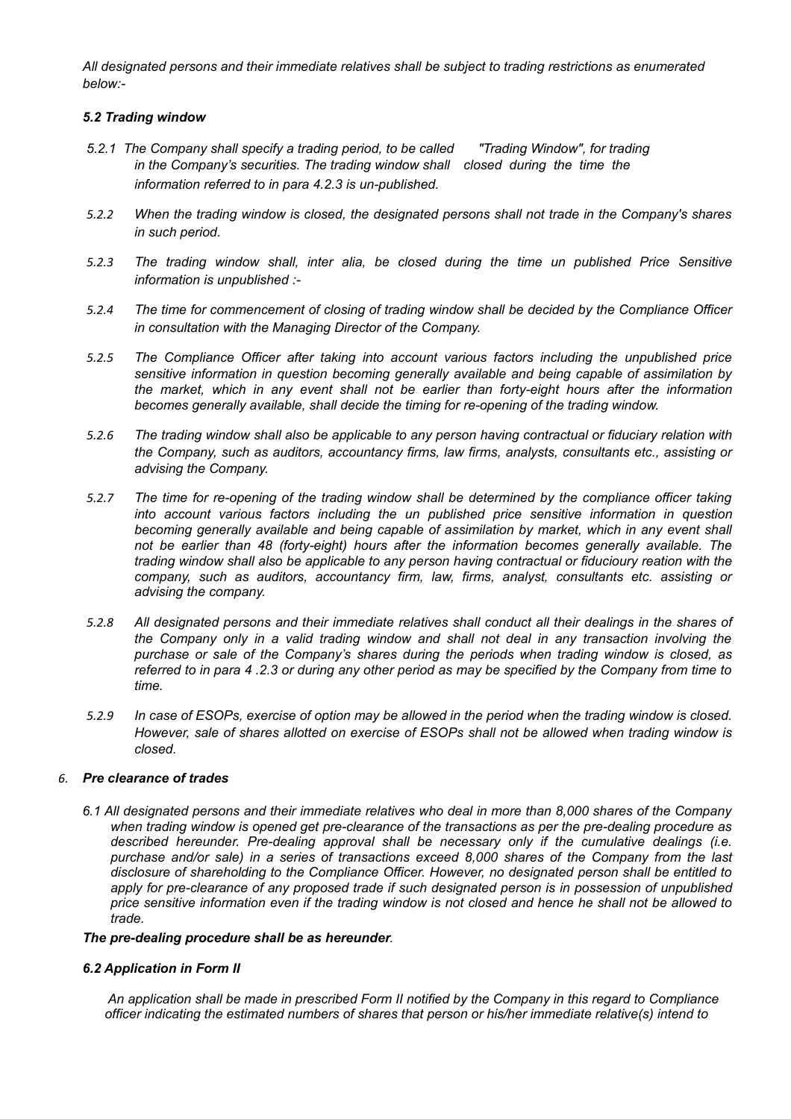*All designated persons and their immediate relatives shall be subject to trading restrictions as enumerated below:-*

### *5.2 Trading window*

- *5.2.1 The Company shall specify a trading period, to be called "Trading Window", for trading in the Company's securities. The trading window shall closed during the time the information referred to in para 4.2.3 is un-published.*
- *5.2.2 When the trading window is closed, the designated persons shall not trade in the Company's shares in such period.*
- *5.2.3 The trading window shall, inter alia, be closed during the time un published Price Sensitive information is unpublished :-*
- *5.2.4 The time for commencement of closing of trading window shall be decided by the Compliance Officer in consultation with the Managing Director of the Company.*
- *5.2.5 The Compliance Officer after taking into account various factors including the unpublished price sensitive information in question becoming generally available and being capable of assimilation by the market, which in any event shall not be earlier than forty-eight hours after the information becomes generally available, shall decide the timing for re-opening of the trading window.*
- *5.2.6 The trading window shall also be applicable to any person having contractual or fiduciary relation with the Company, such as auditors, accountancy firms, law firms, analysts, consultants etc., assisting or advising the Company.*
- *5.2.7 The time for re-opening of the trading window shall be determined by the compliance officer taking into account various factors including the un published price sensitive information in question becoming generally available and being capable of assimilation by market, which in any event shall not be earlier than 48 (forty-eight) hours after the information becomes generally available. The trading window shall also be applicable to any person having contractual or fiducioury reation with the company, such as auditors, accountancy firm, law, firms, analyst, consultants etc. assisting or advising the company.*
- *5.2.8 All designated persons and their immediate relatives shall conduct all their dealings in the shares of the Company only in a valid trading window and shall not deal in any transaction involving the purchase or sale of the Company's shares during the periods when trading window is closed, as referred to in para 4 .2.3 or during any other period as may be specified by the Company from time to time.*
- *5.2.9 In case of ESOPs, exercise of option may be allowed in the period when the trading window is closed. However, sale of shares allotted on exercise of ESOPs shall not be allowed when trading window is closed.*

#### *6. Pre clearance of trades*

*6.1 All designated persons and their immediate relatives who deal in more than 8,000 shares of the Company when trading window is opened get pre-clearance of the transactions as per the pre-dealing procedure as described hereunder. Pre-dealing approval shall be necessary only if the cumulative dealings (i.e. purchase and/or sale) in a series of transactions exceed 8,000 shares of the Company from the last disclosure of shareholding to the Compliance Officer. However, no designated person shall be entitled to apply for pre-clearance of any proposed trade if such designated person is in possession of unpublished price sensitive information even if the trading window is not closed and hence he shall not be allowed to trade.*

#### *The pre-dealing procedure shall be as hereunder.*

#### *6.2 Application in Form II*

 *An application shall be made in prescribed Form II notified by the Company in this regard to Compliance officer indicating the estimated numbers of shares that person or his/her immediate relative(s) intend to*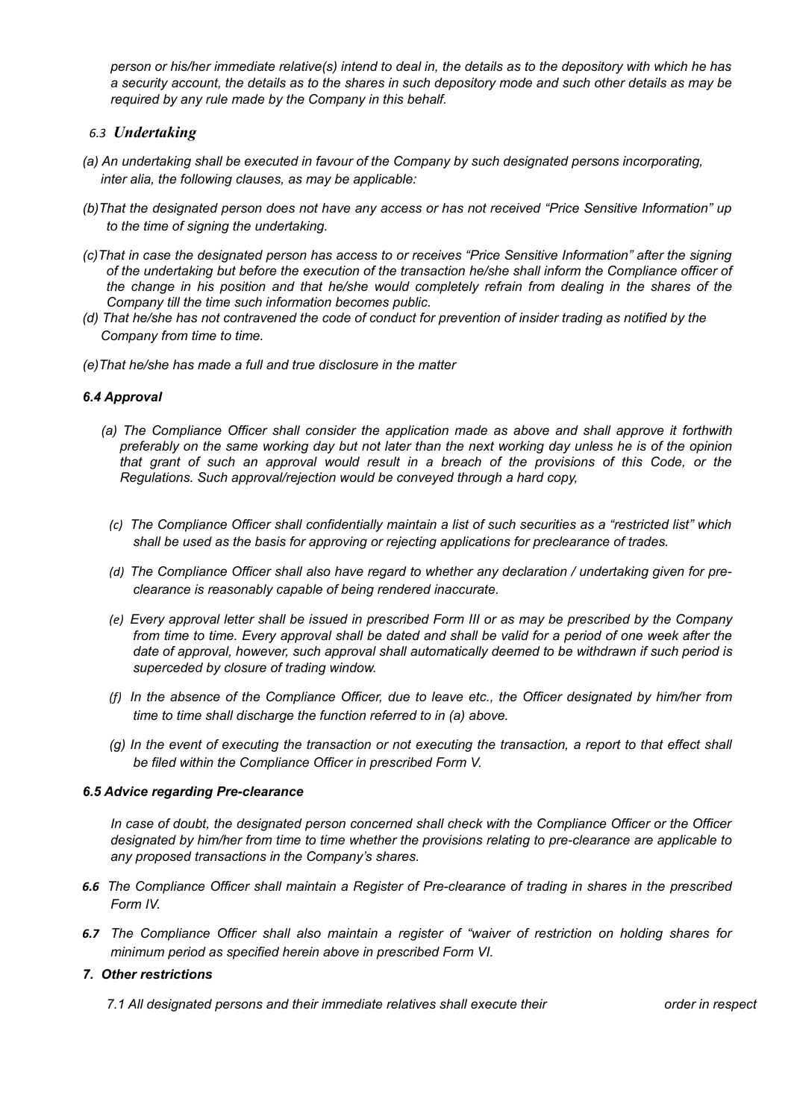*person or his/her immediate relative(s) intend to deal in, the details as to the depository with which he has a security account, the details as to the shares in such depository mode and such other details as may be required by any rule made by the Company in this behalf.*

## *6.3 Undertaking*

- *(a) An undertaking shall be executed in favour of the Company by such designated persons incorporating, inter alia, the following clauses, as may be applicable:*
- *(b)That the designated person does not have any access or has not received "Price Sensitive Information" up to the time of signing the undertaking.*
- *(c)That in case the designated person has access to or receives "Price Sensitive Information" after the signing of the undertaking but before the execution of the transaction he/she shall inform the Compliance officer of the change in his position and that he/she would completely refrain from dealing in the shares of the Company till the time such information becomes public.*
- *(d) That he/she has not contravened the code of conduct for prevention of insider trading as notified by the Company from time to time.*
- *(e)That he/she has made a full and true disclosure in the matter*

### *6.4 Approval*

- *(a) The Compliance Officer shall consider the application made as above and shall approve it forthwith preferably on the same working day but not later than the next working day unless he is of the opinion that grant of such an approval would result in a breach of the provisions of this Code, or the Regulations. Such approval/rejection would be conveyed through a hard copy,*
- *(c) The Compliance Officer shall confidentially maintain a list of such securities as a "restricted list" which shall be used as the basis for approving or rejecting applications for preclearance of trades.*
- *(d) The Compliance Officer shall also have regard to whether any declaration / undertaking given for preclearance is reasonably capable of being rendered inaccurate.*
- *(e) Every approval letter shall be issued in prescribed Form III or as may be prescribed by the Company from time to time. Every approval shall be dated and shall be valid for a period of one week after the date of approval, however, such approval shall automatically deemed to be withdrawn if such period is superceded by closure of trading window.*
- *(f) In the absence of the Compliance Officer, due to leave etc., the Officer designated by him/her from time to time shall discharge the function referred to in (a) above.*
- *(g) In the event of executing the transaction or not executing the transaction, a report to that effect shall be filed within the Compliance Officer in prescribed Form V.*

#### *6.5 Advice regarding Pre-clearance*

*In case of doubt, the designated person concerned shall check with the Compliance Officer or the Officer designated by him/her from time to time whether the provisions relating to pre-clearance are applicable to any proposed transactions in the Company's shares.*

- *6.6 The Compliance Officer shall maintain a Register of Pre-clearance of trading in shares in the prescribed Form IV.*
- *6.7 The Compliance Officer shall also maintain a register of "waiver of restriction on holding shares for minimum period as specified herein above in prescribed Form VI.*

#### *7. Other restrictions*

*7.1 All designated persons and their immediate relatives shall execute their order in respect*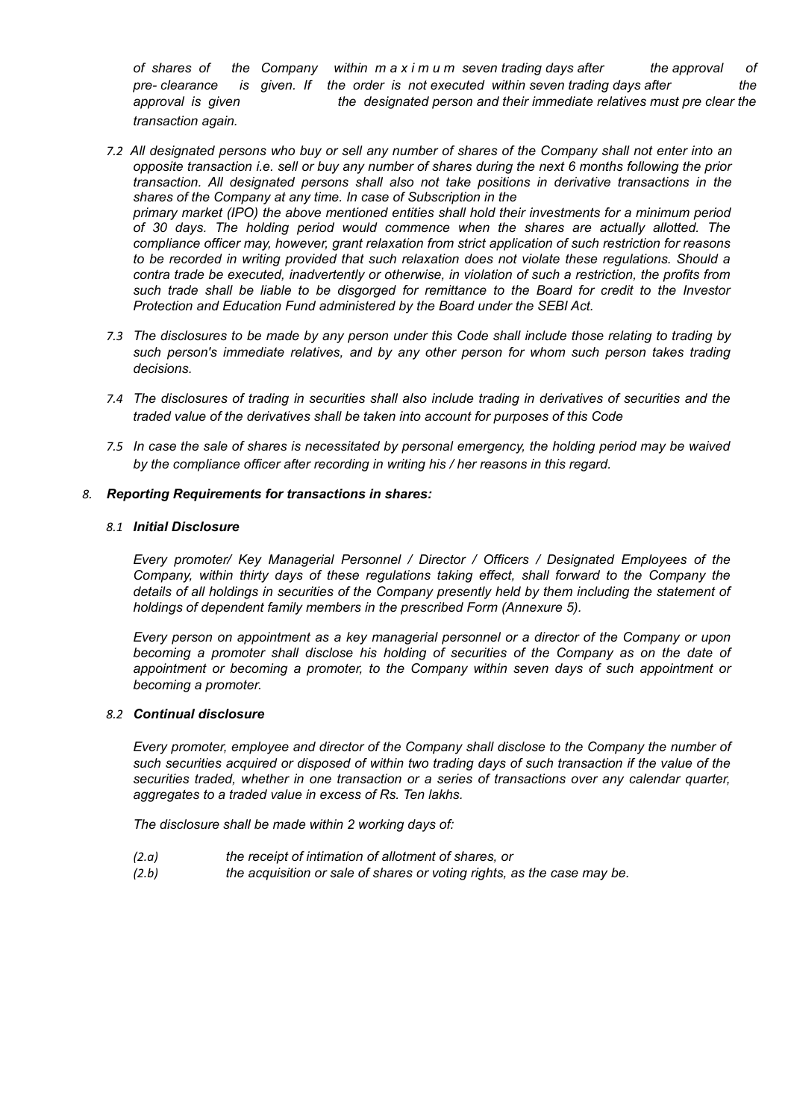*of shares of the Company within m a x i m u m seven trading days after the approval of pre- clearance is given. If the order is not executed within seven trading days after the approval is given the designated person and their immediate relatives must pre clear the transaction again.*

- *7.2 All designated persons who buy or sell any number of shares of the Company shall not enter into an opposite transaction i.e. sell or buy any number of shares during the next 6 months following the prior transaction. All designated persons shall also not take positions in derivative transactions in the shares of the Company at any time. In case of Subscription in the primary market (IPO) the above mentioned entities shall hold their investments for a minimum period of 30 days. The holding period would commence when the shares are actually allotted. The compliance officer may, however, grant relaxation from strict application of such restriction for reasons to be recorded in writing provided that such relaxation does not violate these regulations. Should a contra trade be executed, inadvertently or otherwise, in violation of such a restriction, the profits from such trade shall be liable to be disgorged for remittance to the Board for credit to the Investor Protection and Education Fund administered by the Board under the SEBI Act.*
- *7.3 The disclosures to be made by any person under this Code shall include those relating to trading by such person's immediate relatives, and by any other person for whom such person takes trading decisions.*
- *7.4 The disclosures of trading in securities shall also include trading in derivatives of securities and the traded value of the derivatives shall be taken into account for purposes of this Code*
- *7.5 In case the sale of shares is necessitated by personal emergency, the holding period may be waived by the compliance officer after recording in writing his / her reasons in this regard.*

### *8. Reporting Requirements for transactions in shares:*

#### *8.1 Initial Disclosure*

*Every promoter/ Key Managerial Personnel / Director / Officers / Designated Employees of the Company, within thirty days of these regulations taking effect, shall forward to the Company the details of all holdings in securities of the Company presently held by them including the statement of holdings of dependent family members in the prescribed Form (Annexure 5).* 

*Every person on appointment as a key managerial personnel or a director of the Company or upon becoming a promoter shall disclose his holding of securities of the Company as on the date of appointment or becoming a promoter, to the Company within seven days of such appointment or becoming a promoter.* 

#### *8.2 Continual disclosure*

*Every promoter, employee and director of the Company shall disclose to the Company the number of such securities acquired or disposed of within two trading days of such transaction if the value of the securities traded, whether in one transaction or a series of transactions over any calendar quarter, aggregates to a traded value in excess of Rs. Ten lakhs.* 

*The disclosure shall be made within 2 working days of:* 

- *(2.a) the receipt of intimation of allotment of shares, or*
- *(2.b) the acquisition or sale of shares or voting rights, as the case may be.*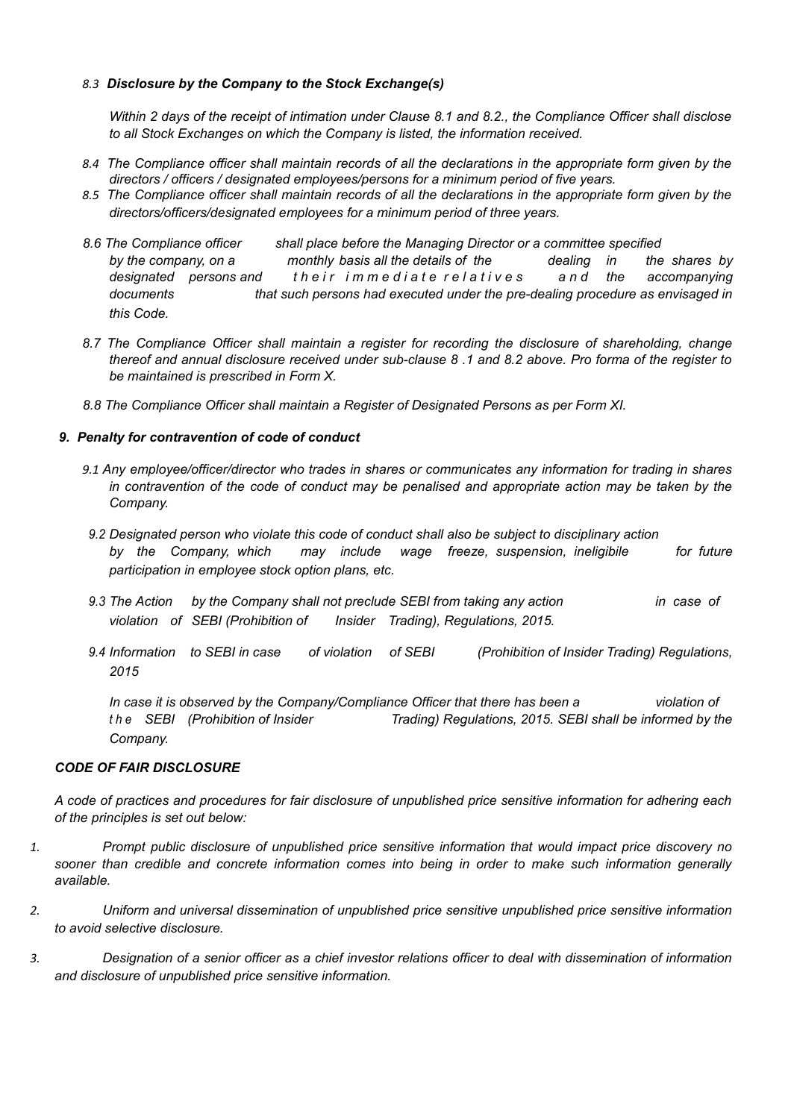# *8.3 Disclosure by the Company to the Stock Exchange(s)*

*Within 2 days of the receipt of intimation under Clause 8.1 and 8.2., the Compliance Officer shall disclose to all Stock Exchanges on which the Company is listed, the information received.* 

- *8.4 The Compliance officer shall maintain records of all the declarations in the appropriate form given by the directors / officers / designated employees/persons for a minimum period of five years.*
- *8.5 The Compliance officer shall maintain records of all the declarations in the appropriate form given by the directors/officers/designated employees for a minimum period of three years.*
- *8.6 The Compliance officer shall place before the Managing Director or a committee specified by the company, on a monthly basis all the details of the dealing in the shares by designated* persons and their immediate relatives and the accompanying *documents that such persons had executed under the pre-dealing procedure as envisaged in this Code.*
- *8.7 The Compliance Officer shall maintain a register for recording the disclosure of shareholding, change thereof and annual disclosure received under sub-clause 8 .1 and 8.2 above. Pro forma of the register to be maintained is prescribed in Form X.*
- *8.8 The Compliance Officer shall maintain a Register of Designated Persons as per Form XI.*

# *9. Penalty for contravention of code of conduct*

- *9.1 Any employee/officer/director who trades in shares or communicates any information for trading in shares in contravention of the code of conduct may be penalised and appropriate action may be taken by the Company.*
- *9.2 Designated person who violate this code of conduct shall also be subject to disciplinary action by the Company, which may include wage freeze, suspension, ineligibile for future participation in employee stock option plans, etc.*
- *9.3 The Action by the Company shall not preclude SEBI from taking any action in case of violation of SEBI (Prohibition of Insider Trading), Regulations, 2015.*
- *9.4 Information to SEBI in case of violation of SEBI (Prohibition of Insider Trading) Regulations, 2015*

*In case it is observed by the Company/Compliance Officer that there has been a violation of t h e SEBI (Prohibition of Insider Trading) Regulations, 2015. SEBI shall be informed by the Company.*

# *CODE OF FAIR DISCLOSURE*

*A code of practices and procedures for fair disclosure of unpublished price sensitive information for adhering each of the principles is set out below:*

- *1. Prompt public disclosure of unpublished price sensitive information that would impact price discovery no sooner than credible and concrete information comes into being in order to make such information generally available.*
- *2. Uniform and universal dissemination of unpublished price sensitive unpublished price sensitive information to avoid selective disclosure.*
- *3. Designation of a senior officer as a chief investor relations officer to deal with dissemination of information and disclosure of unpublished price sensitive information.*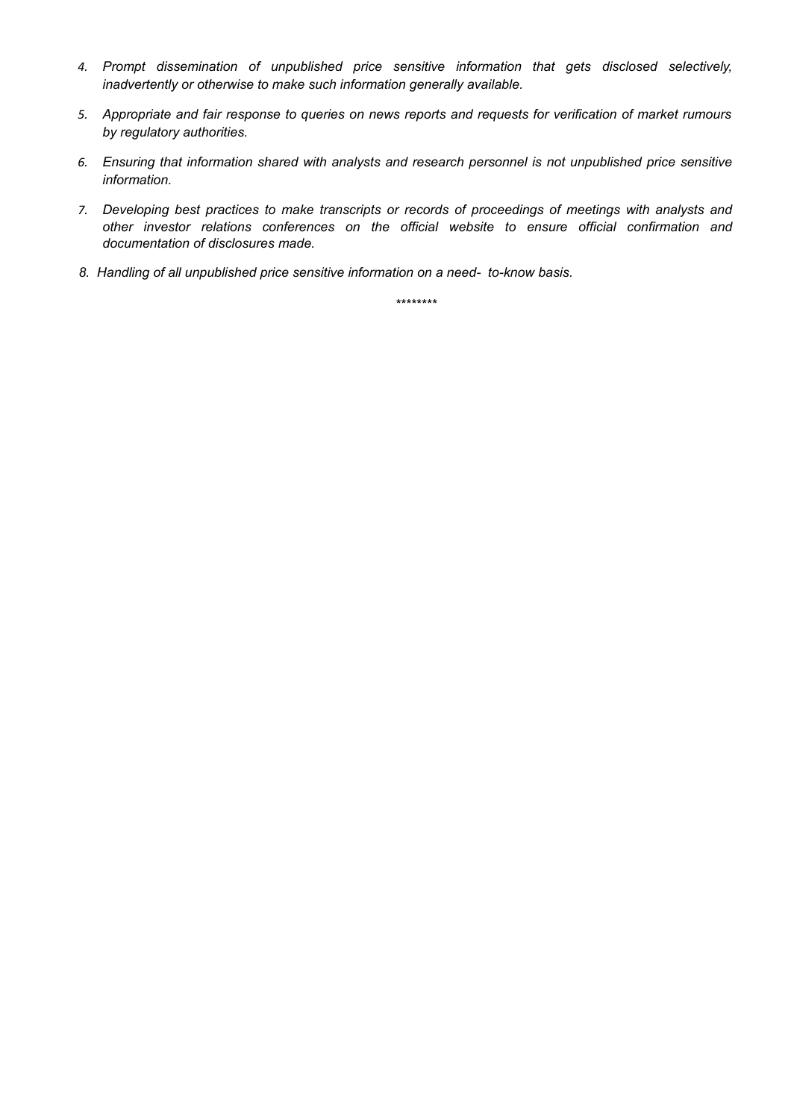- *4. Prompt dissemination of unpublished price sensitive information that gets disclosed selectively, inadvertently or otherwise to make such information generally available.*
- *5. Appropriate and fair response to queries on news reports and requests for verification of market rumours by regulatory authorities.*
- *6. Ensuring that information shared with analysts and research personnel is not unpublished price sensitive information.*
- *7. Developing best practices to make transcripts or records of proceedings of meetings with analysts and other investor relations conferences on the official website to ensure official confirmation and documentation of disclosures made.*
- *8. Handling of all unpublished price sensitive information on a need- to-know basis.*

*\*\*\*\*\*\*\*\**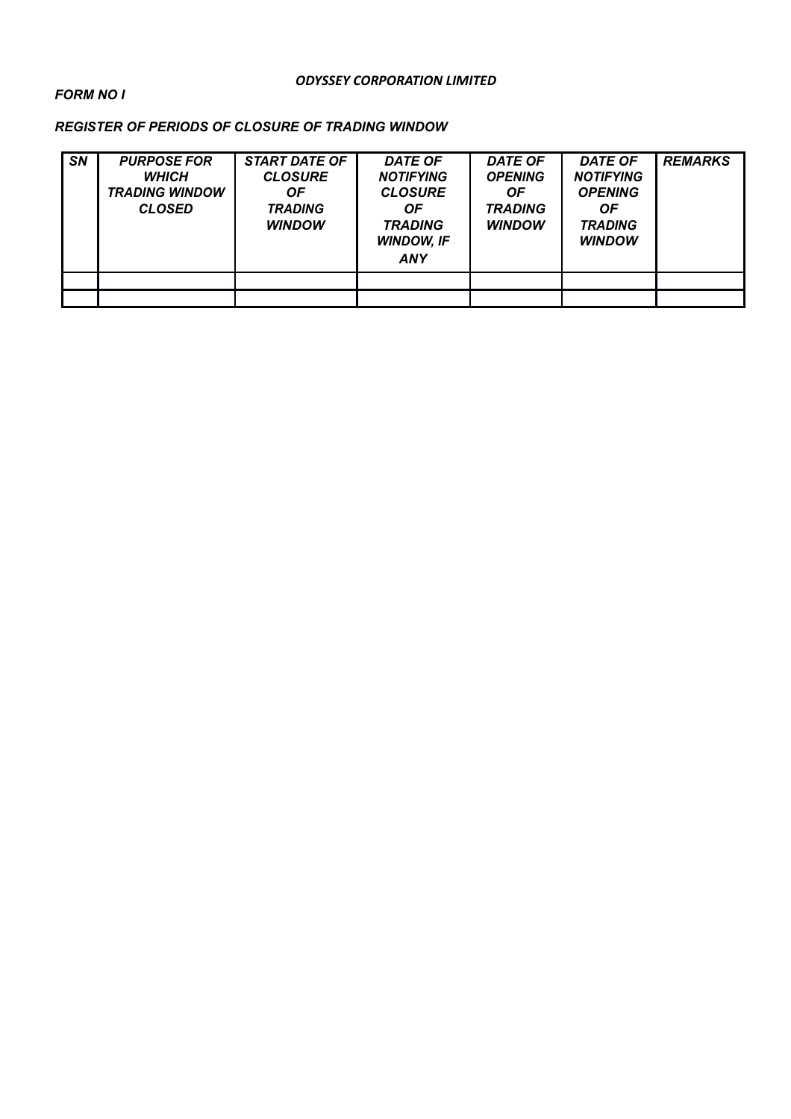# *ODYSSEY CORPORATION LIMITED*

# *FORM NO I*

# *REGISTER OF PERIODS OF CLOSURE OF TRADING WINDOW*

| <b>SN</b> | <b>PURPOSE FOR</b><br><b>WHICH</b><br><b>TRADING WINDOW</b><br><b>CLOSED</b> | <b>START DATE OF</b><br><b>CLOSURE</b><br>OF.<br><b>TRADING</b><br><b>WINDOW</b> | <b>DATE OF</b><br><b>NOTIFYING</b><br><b>CLOSURE</b><br>ΟF<br><b>TRADING</b><br><b>WINDOW, IF</b><br><b>ANY</b> | <b>DATE OF</b><br><b>OPENING</b><br><b>OF</b><br><b>TRADING</b><br><b>WINDOW</b> | <b>DATE OF</b><br><b>NOTIFYING</b><br><b>OPENING</b><br><b>OF</b><br><b>TRADING</b><br><b>WINDOW</b> | <b>REMARKS</b> |
|-----------|------------------------------------------------------------------------------|----------------------------------------------------------------------------------|-----------------------------------------------------------------------------------------------------------------|----------------------------------------------------------------------------------|------------------------------------------------------------------------------------------------------|----------------|
|           |                                                                              |                                                                                  |                                                                                                                 |                                                                                  |                                                                                                      |                |
|           |                                                                              |                                                                                  |                                                                                                                 |                                                                                  |                                                                                                      |                |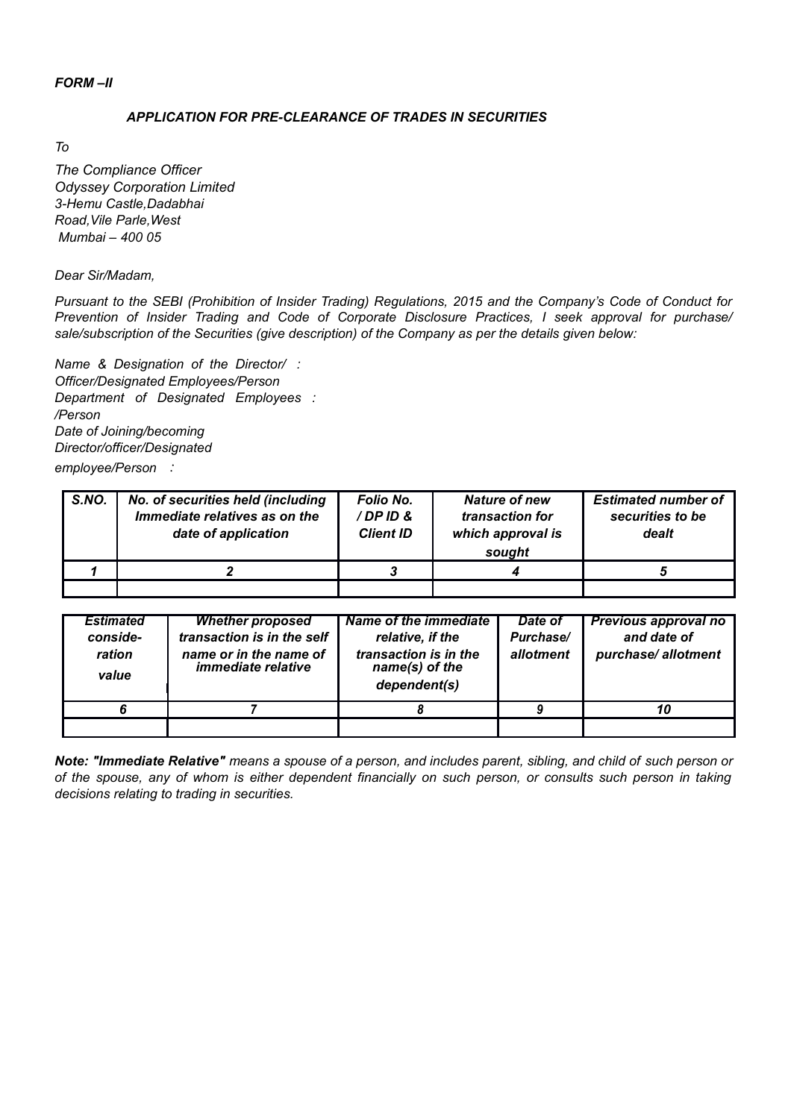# *FORM –II*

#### *APPLICATION FOR PRE-CLEARANCE OF TRADES IN SECURITIES*

*To*

*The Compliance Officer Odyssey Corporation Limited 3-Hemu Castle,Dadabhai Road,Vile Parle,West Mumbai – 400 05*

#### *Dear Sir/Madam,*

*Pursuant to the SEBI (Prohibition of Insider Trading) Regulations, 2015 and the Company's Code of Conduct for Prevention of Insider Trading and Code of Corporate Disclosure Practices, I seek approval for purchase/ sale/subscription of the Securities (give description) of the Company as per the details given below:*

*Name & Designation of the Director/ : Officer/Designated Employees/Person Department of Designated Employees : /Person Date of Joining/becoming Director/officer/Designated*

*employee/Person :*

| S.NO. | No. of securities held (including<br>Immediate relatives as on the<br>date of application | Folio No.<br>/DPID&<br><b>Client ID</b> | <b>Nature of new</b><br>transaction for<br>which approval is<br>sought | <b>Estimated number of</b><br>securities to be<br>dealt |
|-------|-------------------------------------------------------------------------------------------|-----------------------------------------|------------------------------------------------------------------------|---------------------------------------------------------|
|       |                                                                                           |                                         |                                                                        |                                                         |
|       |                                                                                           |                                         |                                                                        |                                                         |

| <b>Estimated</b><br>conside-<br>ration<br>value | <b>Whether proposed</b><br>transaction is in the self<br>name or in the name of<br><i>immediate relative</i> | <b>Name of the immediate</b><br>relative, if the<br>transaction is in the<br>name(s) of the<br>dependent(s) | Date of<br>Purchase/<br>allotment | Previous approval no<br>and date of<br>purchase/allotment |
|-------------------------------------------------|--------------------------------------------------------------------------------------------------------------|-------------------------------------------------------------------------------------------------------------|-----------------------------------|-----------------------------------------------------------|
|                                                 |                                                                                                              |                                                                                                             |                                   |                                                           |
|                                                 |                                                                                                              |                                                                                                             |                                   |                                                           |

*Note: "Immediate Relative" means a spouse of a person, and includes parent, sibling, and child of such person or of the spouse, any of whom is either dependent financially on such person, or consults such person in taking decisions relating to trading in securities.*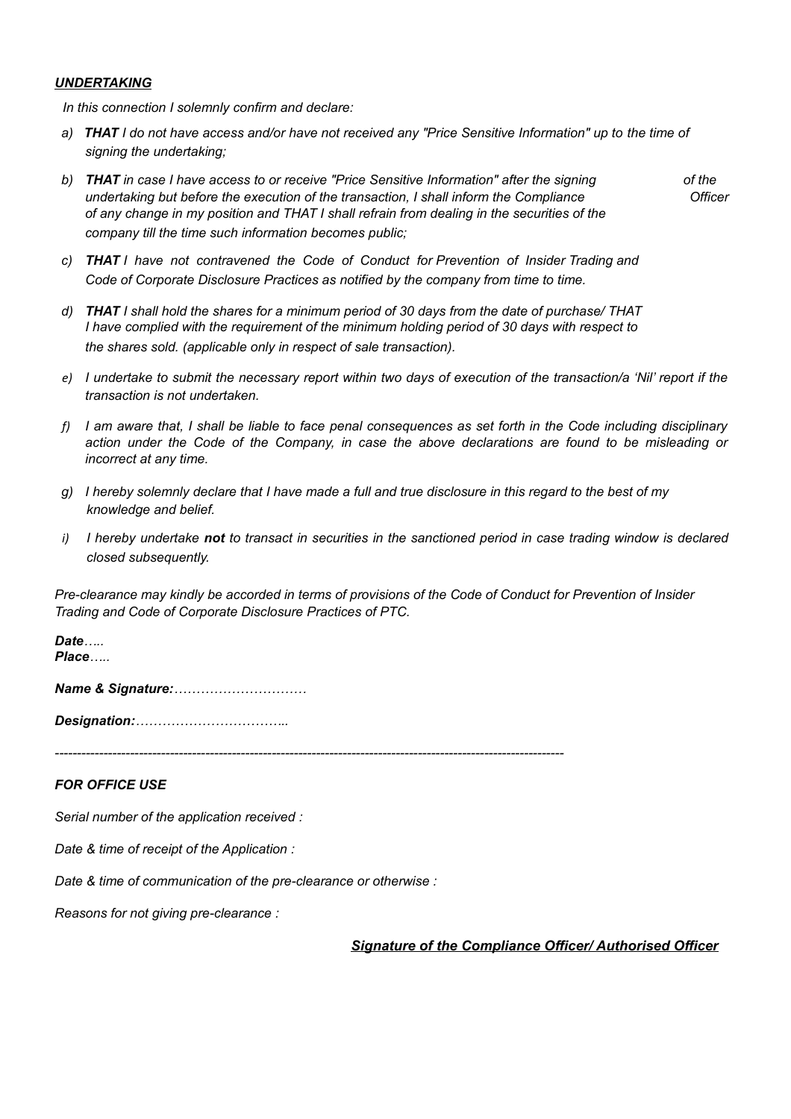# *UNDERTAKING*

*In this connection I solemnly confirm and declare:*

- *a) THAT I do not have access and/or have not received any "Price Sensitive Information" up to the time of signing the undertaking;*
- *b) THAT in case I have access to or receive "Price Sensitive Information" after the signing of the undertaking but before the execution of the transaction, I shall inform the Compliance Officer of any change in my position and THAT I shall refrain from dealing in the securities of the company till the time such information becomes public;*
- *c) THAT I have not contravened the Code of Conduct for Prevention of Insider Trading and Code of Corporate Disclosure Practices as notified by the company from time to time.*
- *d) THAT I shall hold the shares for a minimum period of 30 days from the date of purchase/ THAT I have complied with the requirement of the minimum holding period of 30 days with respect to the shares sold. (applicable only in respect of sale transaction).*
- *e) I undertake to submit the necessary report within two days of execution of the transaction/a 'Nil' report if the transaction is not undertaken.*
- *f) I am aware that, I shall be liable to face penal consequences as set forth in the Code including disciplinary action under the Code of the Company, in case the above declarations are found to be misleading or incorrect at any time.*
- *g) I hereby solemnly declare that I have made a full and true disclosure in this regard to the best of my knowledge and belief.*
- *i) I hereby undertake not to transact in securities in the sanctioned period in case trading window is declared closed subsequently.*

*Pre-clearance may kindly be accorded in terms of provisions of the Code of Conduct for Prevention of Insider Trading and Code of Corporate Disclosure Practices of PTC.*

*Date….. Place…..*

*Name & Signature:…………………………*

*Designation:……………………………..*

*-------------------------------------------------------------------------------------------------------------------*

*FOR OFFICE USE*

*Serial number of the application received :*

*Date & time of receipt of the Application :*

*Date & time of communication of the pre-clearance or otherwise :*

*Reasons for not giving pre-clearance :*

*Signature of the Compliance Officer/ Authorised Officer*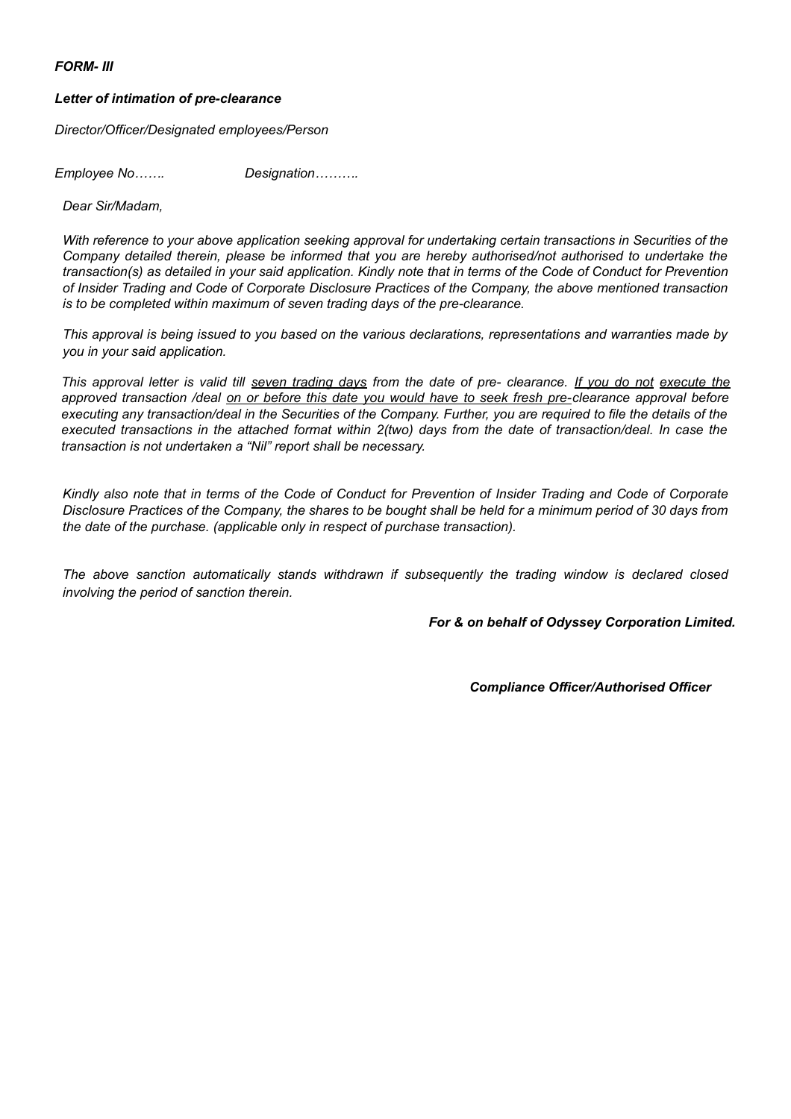*FORM- III*

#### *Letter of intimation of pre-clearance*

*Director/Officer/Designated employees/Person*

*Employee No……. Designation……….*

*Dear Sir/Madam,*

*With reference to your above application seeking approval for undertaking certain transactions in Securities of the Company detailed therein, please be informed that you are hereby authorised/not authorised to undertake the transaction(s) as detailed in your said application. Kindly note that in terms of the Code of Conduct for Prevention of Insider Trading and Code of Corporate Disclosure Practices of the Company, the above mentioned transaction is to be completed within maximum of seven trading days of the pre-clearance.*

*This approval is being issued to you based on the various declarations, representations and warranties made by you in your said application.*

*This approval letter is valid till seven trading days from the date of pre- clearance. If you do not execute the approved transaction /deal on or before this date you would have to seek fresh pre-clearance approval before executing any transaction/deal in the Securities of the Company. Further, you are required to file the details of the executed transactions in the attached format within 2(two) days from the date of transaction/deal. In case the transaction is not undertaken a "Nil" report shall be necessary.*

*Kindly also note that in terms of the Code of Conduct for Prevention of Insider Trading and Code of Corporate Disclosure Practices of the Company, the shares to be bought shall be held for a minimum period of 30 days from the date of the purchase. (applicable only in respect of purchase transaction).*

*The above sanction automatically stands withdrawn if subsequently the trading window is declared closed involving the period of sanction therein.*

*For & on behalf of Odyssey Corporation Limited.*

*Compliance Officer/Authorised Officer*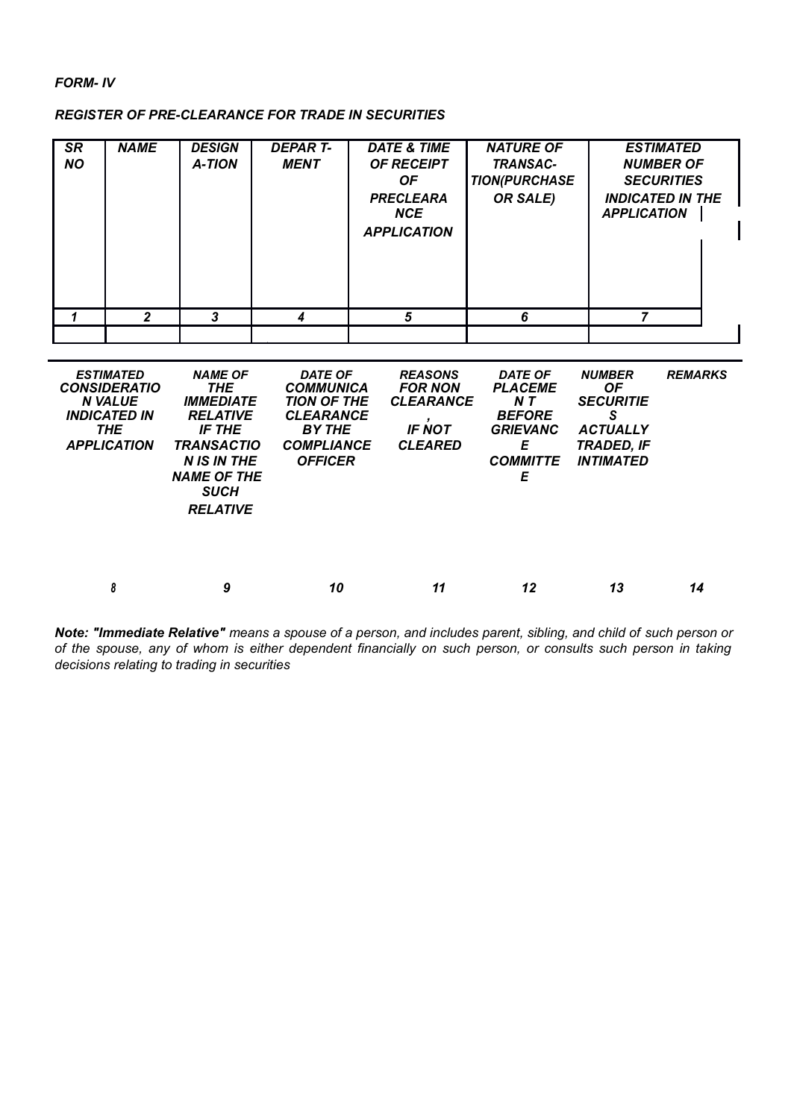# *FORM- IV*

# *REGISTER OF PRE-CLEARANCE FOR TRADE IN SECURITIES*

| <b>SR</b><br><b>NO</b> | <b>NAME</b> | <b>DESIGN</b><br><b>A-TION</b> | <b>DEPART-</b><br><b>MENT</b> | <b>DATE &amp; TIME</b><br><b>OF RECEIPT</b><br><b>OF</b><br><b>PRECLEARA</b><br>NCE<br><b>APPLICATION</b> | <b>NATURE OF</b><br><b>TRANSAC-</b><br><b>TION(PURCHASE</b><br>OR SALE) | <b>ESTIMATED</b><br><b>NUMBER OF</b><br><b>SECURITIES</b><br><b>INDICATED IN THE</b><br><b>APPLICATION</b> |
|------------------------|-------------|--------------------------------|-------------------------------|-----------------------------------------------------------------------------------------------------------|-------------------------------------------------------------------------|------------------------------------------------------------------------------------------------------------|
|                        | 2           | 3                              | 4                             | 5                                                                                                         | 6                                                                       |                                                                                                            |
|                        |             |                                |                               |                                                                                                           |                                                                         |                                                                                                            |

| <b>ESTIMATED</b><br><b>CONSIDERATIO</b><br><b>N VALUE</b><br><b>INDICATED IN</b><br><b>THE</b><br><b>APPLICATION</b> | <b>NAME OF</b><br><b>THE</b><br><b>IMMEDIATE</b><br><b>RELATIVE</b><br>IF THE<br><b>TRANSACTIO</b><br><b>N IS IN THE</b><br><b>NAME OF THE</b><br><b>SUCH</b><br><b>RELATIVE</b> | <b>DATE OF</b><br><b>COMMUNICA</b><br><b>TION OF THE</b><br><b>CLEARANCE</b><br><b>BY THE</b><br><b>COMPLIANCE</b><br><b>OFFICER</b> | <b>REASONS</b><br><b>FOR NON</b><br><b>CLEARANCE</b><br><b>IF NOT</b><br><b>CLEARED</b> | <b>DATE OF</b><br><b>PLACEME</b><br>NT.<br><b>BEFORE</b><br><b>GRIEVANC</b><br>Е<br><b>COMMITTE</b><br>Ε | <b>NUMBER</b><br><b>OF</b><br><b>SECURITIE</b><br>S<br><b>ACTUALLY</b><br>TRADED, IF<br><i><b>INTIMATED</b></i> | <b>REMARKS</b> |
|----------------------------------------------------------------------------------------------------------------------|----------------------------------------------------------------------------------------------------------------------------------------------------------------------------------|--------------------------------------------------------------------------------------------------------------------------------------|-----------------------------------------------------------------------------------------|----------------------------------------------------------------------------------------------------------|-----------------------------------------------------------------------------------------------------------------|----------------|
| 8                                                                                                                    | 9                                                                                                                                                                                | 10                                                                                                                                   | 11                                                                                      | 12                                                                                                       | 13                                                                                                              | 14             |

*Note: "Immediate Relative" means a spouse of a person, and includes parent, sibling, and child of such person or of the spouse, any of whom is either dependent financially on such person, or consults such person in taking decisions relating to trading in securities*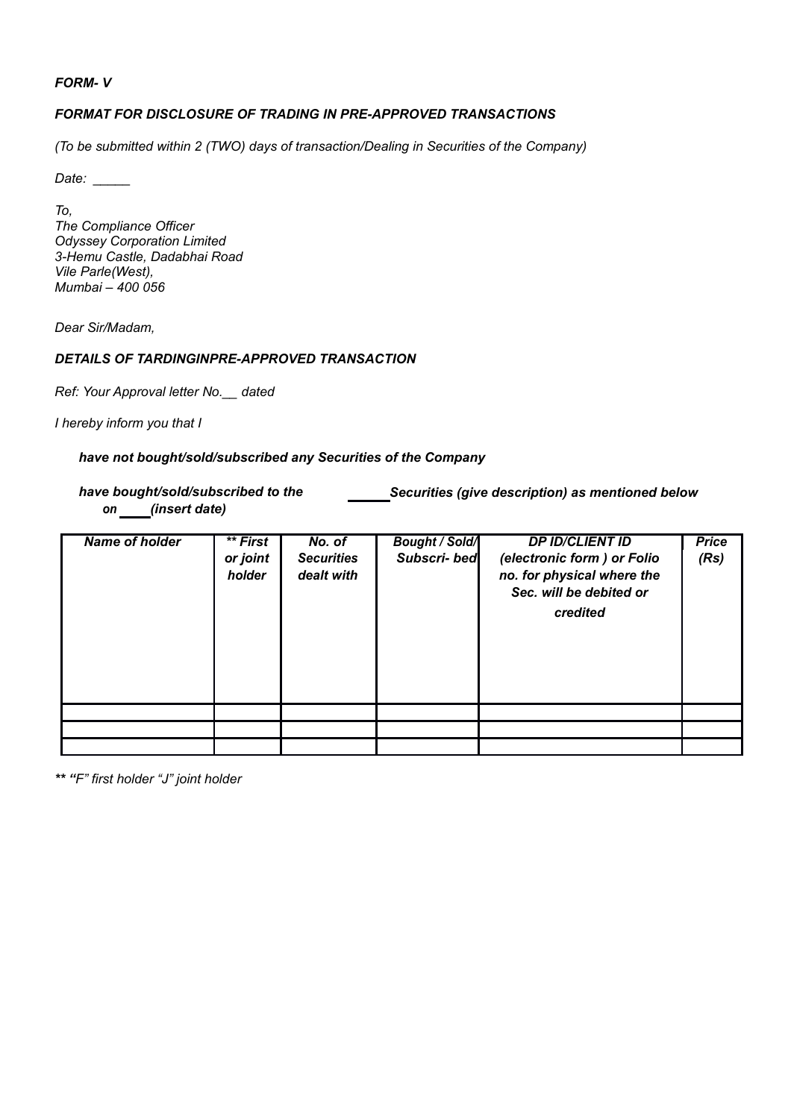### *FORM- V*

# *FORMAT FOR DISCLOSURE OF TRADING IN PRE-APPROVED TRANSACTIONS*

*(To be submitted within 2 (TWO) days of transaction/Dealing in Securities of the Company)*

*Date: \_\_\_\_\_*

*To, The Compliance Officer Odyssey Corporation Limited 3-Hemu Castle, Dadabhai Road Vile Parle(West), Mumbai – 400 056*

*Dear Sir/Madam,*

# *DETAILS OF TARDINGINPRE-APPROVED TRANSACTION*

*Ref: Your Approval letter No.\_\_ dated*

*I hereby inform you that I*

### *have not bought/sold/subscribed any Securities of the Company*

*have bought/sold/subscribed to the Securities (give description) as mentioned below on (insert date)*

| Name of holder | ** First<br>or joint<br>holder | No. of<br><b>Securities</b><br>dealt with | <b>Bought / Sold/</b><br>Subscri-bed | <b>DP ID/CLIENT ID</b><br>(electronic form) or Folio<br>no. for physical where the<br>Sec. will be debited or<br>credited | <b>Price</b><br>(Rs) |
|----------------|--------------------------------|-------------------------------------------|--------------------------------------|---------------------------------------------------------------------------------------------------------------------------|----------------------|
|                |                                |                                           |                                      |                                                                                                                           |                      |
|                |                                |                                           |                                      |                                                                                                                           |                      |
|                |                                |                                           |                                      |                                                                                                                           |                      |

*\*\* "F" first holder "J" joint holder*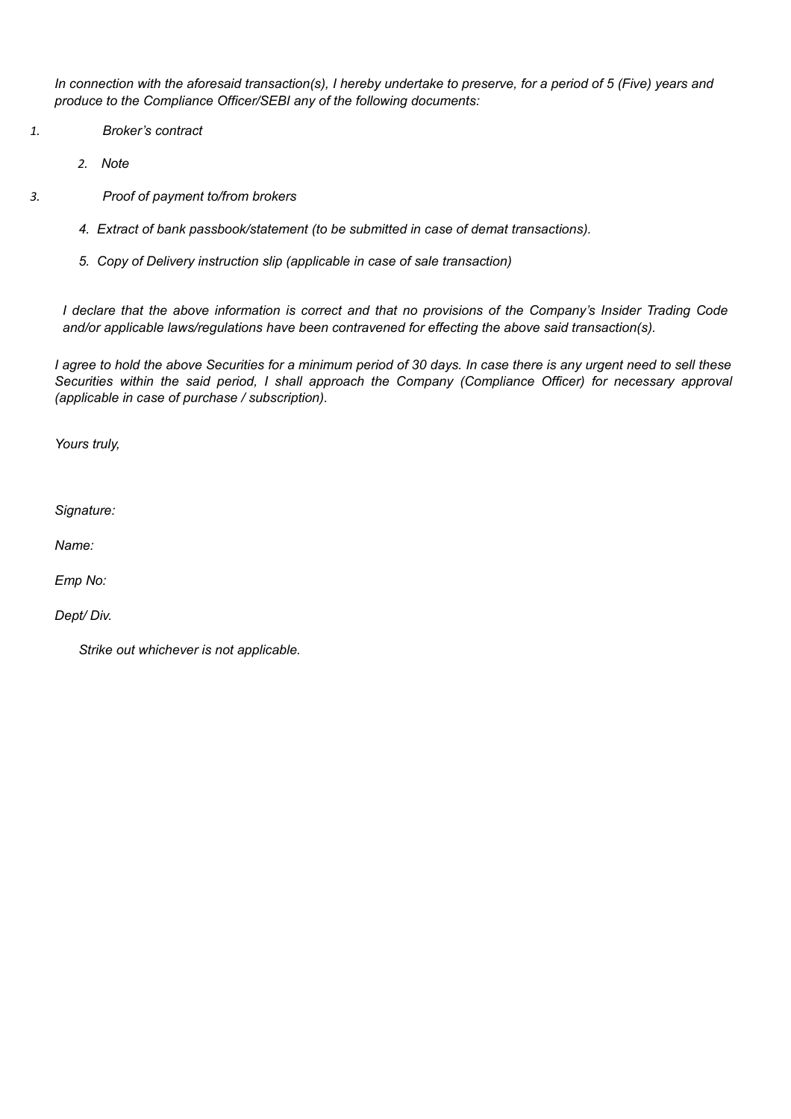*In connection with the aforesaid transaction(s), I hereby undertake to preserve, for a period of 5 (Five) years and produce to the Compliance Officer/SEBI any of the following documents:*

- *1. Broker's contract* 
	- *2. Note*
- *3. Proof of payment to/from brokers* 
	- *4. Extract of bank passbook/statement (to be submitted in case of demat transactions).*
	- *5. Copy of Delivery instruction slip (applicable in case of sale transaction)*

*I declare that the above information is correct and that no provisions of the Company's Insider Trading Code and/or applicable laws/regulations have been contravened for effecting the above said transaction(s).*

*I agree to hold the above Securities for a minimum period of 30 days. In case there is any urgent need to sell these Securities within the said period, I shall approach the Company (Compliance Officer) for necessary approval (applicable in case of purchase / subscription).*

*Yours truly,*

*Signature:*

*Name:*

*Emp No:*

*Dept/ Div.*

*Strike out whichever is not applicable.*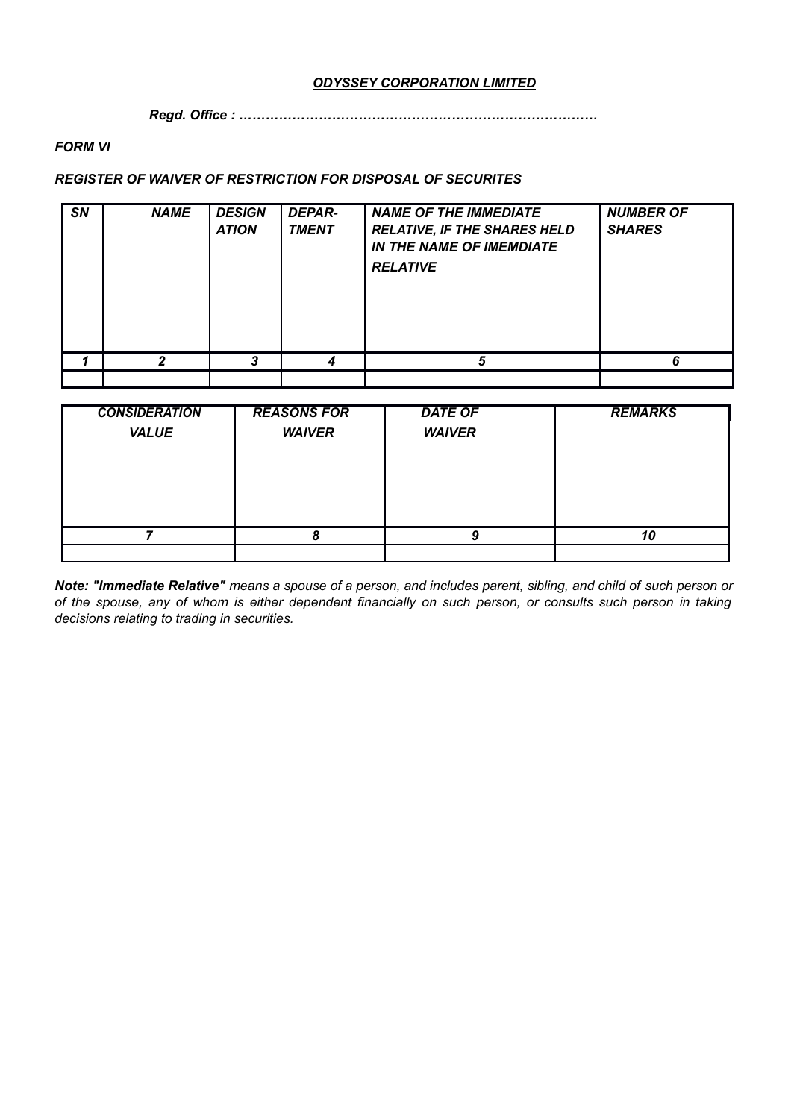# *ODYSSEY CORPORATION LIMITED*

*Regd. Office : ………………………………………………………………………*

# *FORM VI*

# *REGISTER OF WAIVER OF RESTRICTION FOR DISPOSAL OF SECURITES*

| <b>SN</b> | <b>NAME</b> | <b>DESIGN</b><br><b>ATION</b> | <b>DEPAR-</b><br><b>TMENT</b> | <b>NAME OF THE IMMEDIATE</b><br><b>RELATIVE, IF THE SHARES HELD</b><br><b>IN THE NAME OF IMEMDIATE</b><br><b>RELATIVE</b> | <b>NUMBER OF</b><br><b>SHARES</b> |
|-----------|-------------|-------------------------------|-------------------------------|---------------------------------------------------------------------------------------------------------------------------|-----------------------------------|
|           |             |                               |                               | г,                                                                                                                        | ĥ                                 |
|           |             |                               |                               |                                                                                                                           |                                   |

| <b>CONSIDERATION</b> | <b>REASONS FOR</b> | <b>DATE OF</b> | <b>REMARKS</b> |
|----------------------|--------------------|----------------|----------------|
| <b>VALUE</b>         | <b>WAIVER</b>      | <b>WAIVER</b>  |                |
|                      |                    |                |                |
|                      |                    |                |                |
|                      |                    |                |                |
|                      |                    |                |                |
|                      |                    |                | 10             |
|                      |                    |                |                |

*Note: "Immediate Relative" means a spouse of a person, and includes parent, sibling, and child of such person or of the spouse, any of whom is either dependent financially on such person, or consults such person in taking decisions relating to trading in securities.*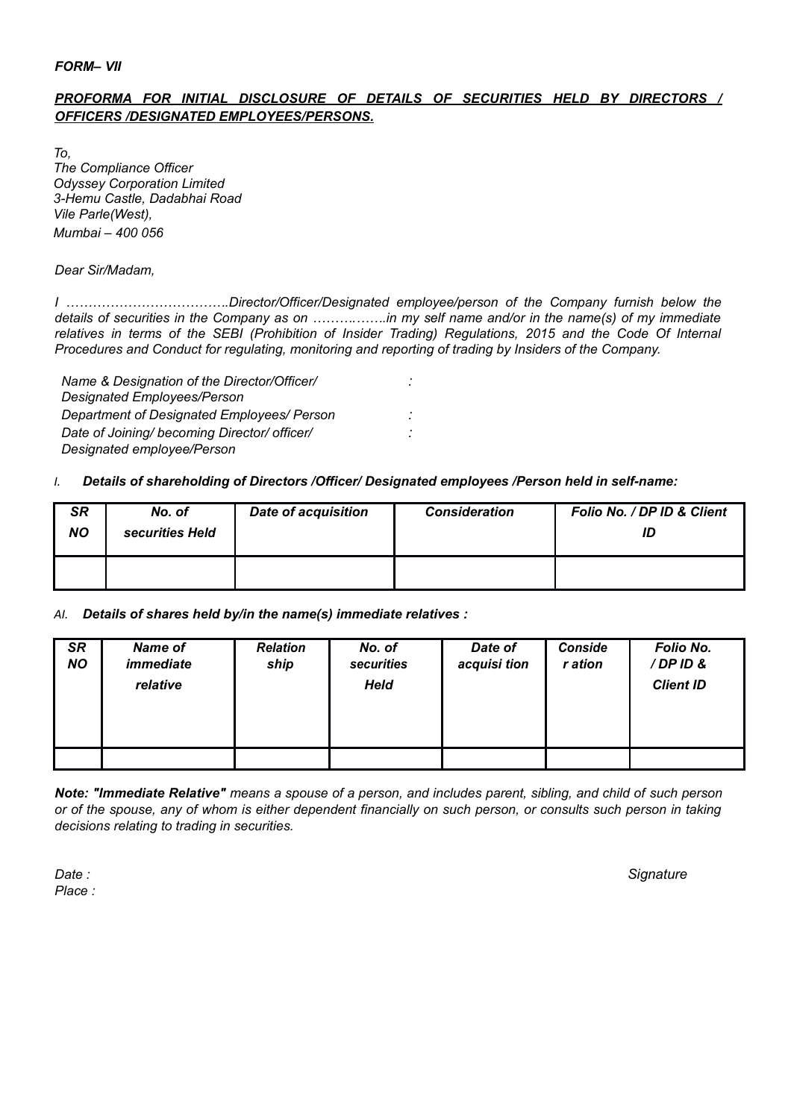# *FORM– VII*

# *PROFORMA FOR INITIAL DISCLOSURE OF DETAILS OF SECURITIES HELD BY DIRECTORS / OFFICERS /DESIGNATED EMPLOYEES/PERSONS.*

*To, The Compliance Officer Odyssey Corporation Limited 3-Hemu Castle, Dadabhai Road Vile Parle(West), Mumbai – 400 056*

*Dear Sir/Madam,*

*I ……………………………….Director/Officer/Designated employee/person of the Company furnish below the details of securities in the Company as on ……….…….in my self name and/or in the name(s) of my immediate relatives in terms of the SEBI (Prohibition of Insider Trading) Regulations, 2015 and the Code Of Internal Procedures and Conduct for regulating, monitoring and reporting of trading by Insiders of the Company.*

*Name & Designation of the Director/Officer/ : Designated Employees/Person Department of Designated Employees/ Person : Date of Joining/ becoming Director/ officer/ : Designated employee/Person*

# *I. Details of shareholding of Directors /Officer/ Designated employees /Person held in self-name:*

| <b>SR</b><br><b>NO</b> | No. of<br>securities Held | <b>Date of acquisition</b> | <b>Consideration</b> | Folio No. / DP ID & Client<br>ID |
|------------------------|---------------------------|----------------------------|----------------------|----------------------------------|
|                        |                           |                            |                      |                                  |

# *AI. Details of shares held by/in the name(s) immediate relatives :*

| <b>SR</b><br><b>NO</b> | <b>Name of</b><br>immediate<br>relative | <b>Relation</b><br>ship | No. of<br>securities<br>Held | Date of<br>acquisi tion | <b>Conside</b><br>r ation | Folio No.<br>/DPID&<br><b>Client ID</b> |
|------------------------|-----------------------------------------|-------------------------|------------------------------|-------------------------|---------------------------|-----------------------------------------|
|                        |                                         |                         |                              |                         |                           |                                         |

*Note: "Immediate Relative" means a spouse of a person, and includes parent, sibling, and child of such person or of the spouse, any of whom is either dependent financially on such person, or consults such person in taking decisions relating to trading in securities.*

*Place :*

*Date : Signature*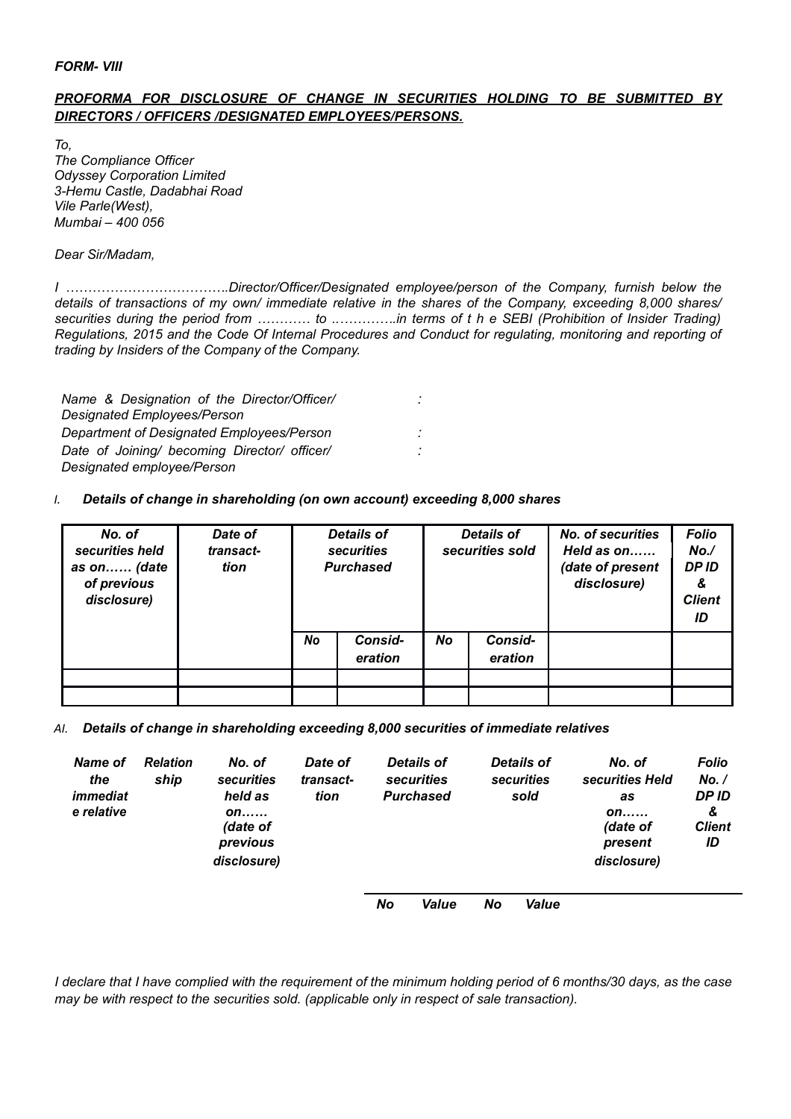### *FORM- VIII*

# *PROFORMA FOR DISCLOSURE OF CHANGE IN SECURITIES HOLDING TO BE SUBMITTED BY DIRECTORS / OFFICERS /DESIGNATED EMPLOYEES/PERSONS.*

*To, The Compliance Officer Odyssey Corporation Limited 3-Hemu Castle, Dadabhai Road Vile Parle(West), Mumbai – 400 056*

*Dear Sir/Madam,*

*I ……………………………….Director/Officer/Designated employee/person of the Company, furnish below the details of transactions of my own/ immediate relative in the shares of the Company, exceeding 8,000 shares/ securities during the period from ………… to ..………….in terms of t h e SEBI (Prohibition of Insider Trading) Regulations, 2015 and the Code Of Internal Procedures and Conduct for regulating, monitoring and reporting of trading by Insiders of the Company of the Company.*

| Name & Designation of the Director/Officer/  | ٠ |
|----------------------------------------------|---|
| Designated Employees/Person                  |   |
| Department of Designated Employees/Person    | ٠ |
| Date of Joining/ becoming Director/ officer/ | ٠ |
| Designated employee/Person                   |   |

# *I. Details of change in shareholding (on own account) exceeding 8,000 shares*

| No. of<br>securities held<br>as on (date<br>of previous<br>disclosure) | Date of<br>transact-<br>tion |    | <b>Details of</b><br><b>securities</b><br><b>Purchased</b> | <b>Details of</b><br>securities sold |                    | No. of securities<br>Held as on<br>(date of present<br>disclosure) | <b>Folio</b><br>No.<br><b>DPID</b><br>&<br><b>Client</b><br>ID |
|------------------------------------------------------------------------|------------------------------|----|------------------------------------------------------------|--------------------------------------|--------------------|--------------------------------------------------------------------|----------------------------------------------------------------|
|                                                                        |                              | No | Consid-<br>eration                                         | <b>No</b>                            | Consid-<br>eration |                                                                    |                                                                |
|                                                                        |                              |    |                                                            |                                      |                    |                                                                    |                                                                |
|                                                                        |                              |    |                                                            |                                      |                    |                                                                    |                                                                |

*AI. Details of change in shareholding exceeding 8,000 securities of immediate relatives* 

| Name of<br>the<br>immediat<br>e relative | <b>Relation</b><br>ship | No. of<br>securities<br>held as<br>on<br>(date of<br>previous | Date of<br>transact-<br>tion | Details of<br>securities<br><b>Purchased</b> | <b>Details of</b><br>securities<br>sold | No. of<br>securities Held<br>as<br>on<br>(date of<br>present | Folio<br>No. /<br>DP ID<br>&<br><b>Client</b><br>ID |
|------------------------------------------|-------------------------|---------------------------------------------------------------|------------------------------|----------------------------------------------|-----------------------------------------|--------------------------------------------------------------|-----------------------------------------------------|
|                                          |                         | disclosure)                                                   |                              |                                              |                                         | disclosure)                                                  |                                                     |

*No Value No Value*

*I declare that I have complied with the requirement of the minimum holding period of 6 months/30 days, as the case may be with respect to the securities sold. (applicable only in respect of sale transaction).*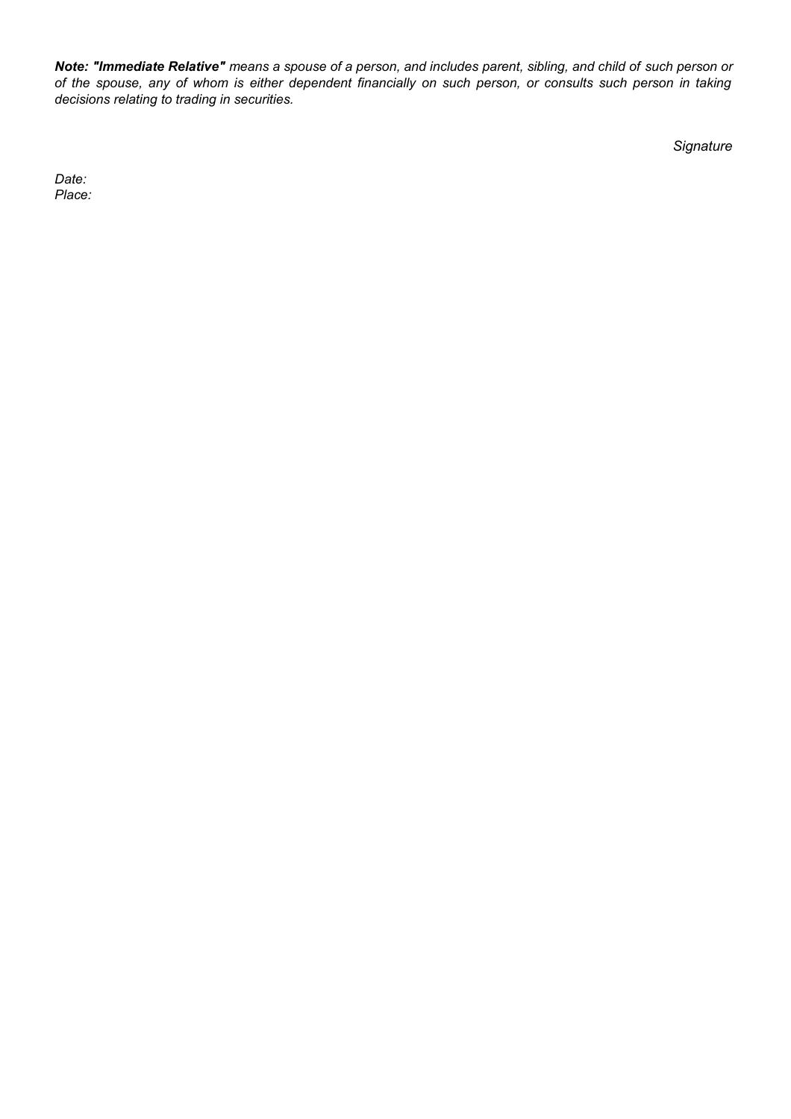*Note: "Immediate Relative" means a spouse of a person, and includes parent, sibling, and child of such person or of the spouse, any of whom is either dependent financially on such person, or consults such person in taking decisions relating to trading in securities.*

*Signature*

*Date: Place:*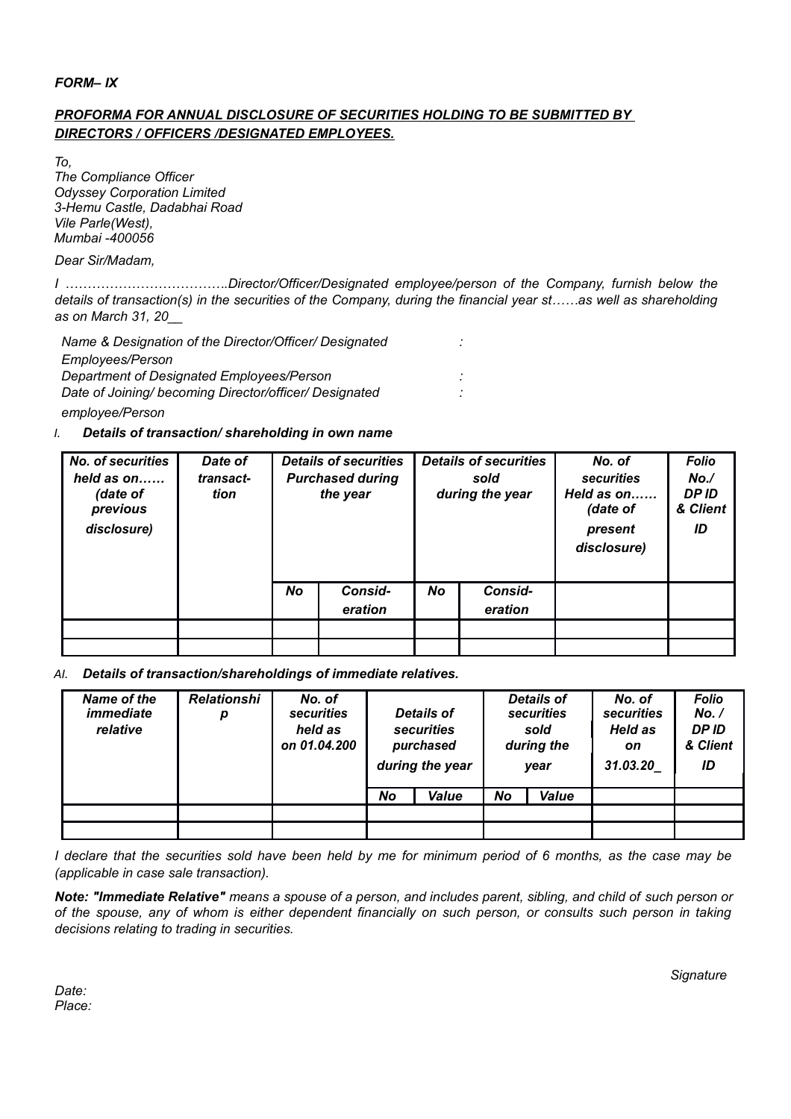## *FORM– IX*

# *PROFORMA FOR ANNUAL DISCLOSURE OF SECURITIES HOLDING TO BE SUBMITTED BY DIRECTORS / OFFICERS /DESIGNATED EMPLOYEES.*

*To,*

*The Compliance Officer Odyssey Corporation Limited 3-Hemu Castle, Dadabhai Road Vile Parle(West), Mumbai -400056*

*Dear Sir/Madam,*

*I ……………………………….Director/Officer/Designated employee/person of the Company, furnish below the details of transaction(s) in the securities of the Company, during the financial year st……as well as shareholding as on March 31, 20\_\_*

*Name & Designation of the Director/Officer/ Designated : Employees/Person Department of Designated Employees/Person : Date of Joining/ becoming Director/officer/ Designated : employee/Person*

# *I. Details of transaction/ shareholding in own name*

| <b>No. of securities</b><br>held as $on$<br>(date of<br>previous<br>disclosure) | Date of<br>transact-<br>tion |           | <b>Details of securities</b><br><b>Purchased during</b><br>the year | <b>Details of securities</b><br>sold<br>during the year |                    | No. of<br>securities<br>Held as on<br>(date of<br>present<br>disclosure) | <b>Folio</b><br>No.<br>DP ID<br>& Client<br>ID |
|---------------------------------------------------------------------------------|------------------------------|-----------|---------------------------------------------------------------------|---------------------------------------------------------|--------------------|--------------------------------------------------------------------------|------------------------------------------------|
|                                                                                 |                              | <b>No</b> | Consid-<br>eration                                                  | <b>No</b>                                               | Consid-<br>eration |                                                                          |                                                |
|                                                                                 |                              |           |                                                                     |                                                         |                    |                                                                          |                                                |
|                                                                                 |                              |           |                                                                     |                                                         |                    |                                                                          |                                                |

*AI. Details of transaction/shareholdings of immediate relatives.* 

| Name of the<br>immediate<br>relative | <b>Relationshi</b><br>р | No. of<br>securities<br>held as<br>on 01.04.200 | <b>Details of</b><br>securities<br>purchased<br>during the year |       |    | <b>Details of</b><br>securities<br>sold<br>during the<br>year | No. of<br>securities<br>Held as<br>on<br>31.03.20 | <b>Folio</b><br>No. /<br><b>DPID</b><br>& Client<br>ID |
|--------------------------------------|-------------------------|-------------------------------------------------|-----------------------------------------------------------------|-------|----|---------------------------------------------------------------|---------------------------------------------------|--------------------------------------------------------|
|                                      |                         |                                                 | No                                                              | Value | No | Value                                                         |                                                   |                                                        |
|                                      |                         |                                                 |                                                                 |       |    |                                                               |                                                   |                                                        |
|                                      |                         |                                                 |                                                                 |       |    |                                                               |                                                   |                                                        |

*I declare that the securities sold have been held by me for minimum period of 6 months, as the case may be (applicable in case sale transaction).*

*Note: "Immediate Relative" means a spouse of a person, and includes parent, sibling, and child of such person or of the spouse, any of whom is either dependent financially on such person, or consults such person in taking decisions relating to trading in securities.*

*Date: Place:* *Signature*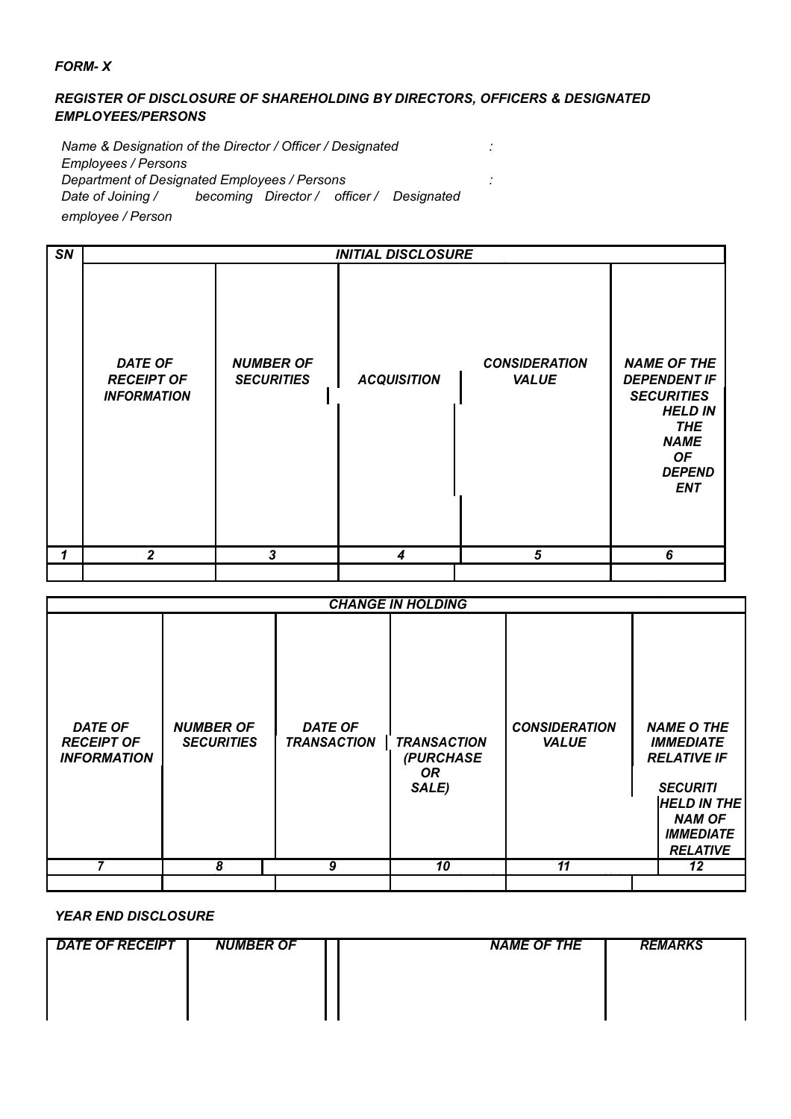# *FORM- X*

# *REGISTER OF DISCLOSURE OF SHAREHOLDING BY DIRECTORS, OFFICERS & DESIGNATED EMPLOYEES/PERSONS*

*Name & Designation of the Director / Officer / Designated : Employees / Persons Department of Designated Employees / Persons : Date of Joining / becoming Director / officer / Designated employee / Person*

| SN |                                                           | <b>INITIAL DISCLOSURE</b>             |                    |                                      |                                                                                                                                                           |  |  |  |
|----|-----------------------------------------------------------|---------------------------------------|--------------------|--------------------------------------|-----------------------------------------------------------------------------------------------------------------------------------------------------------|--|--|--|
|    | <b>DATE OF</b><br><b>RECEIPT OF</b><br><b>INFORMATION</b> | <b>NUMBER OF</b><br><b>SECURITIES</b> | <b>ACQUISITION</b> | <b>CONSIDERATION</b><br><b>VALUE</b> | <b>NAME OF THE</b><br><b>DEPENDENT IF</b><br><b>SECURITIES</b><br><b>HELD IN</b><br><b>THE</b><br><b>NAME</b><br><b>OF</b><br><b>DEPEND</b><br><b>ENT</b> |  |  |  |
| 1  | $\overline{2}$                                            | $\overline{3}$                        | $\boldsymbol{4}$   | 5                                    | 6                                                                                                                                                         |  |  |  |
|    |                                                           |                                       |                    |                                      |                                                                                                                                                           |  |  |  |

|                                                           |                                       |                                      | <b>CHANGE IN HOLDING</b>                        |                                      |                                                                                                                                                              |
|-----------------------------------------------------------|---------------------------------------|--------------------------------------|-------------------------------------------------|--------------------------------------|--------------------------------------------------------------------------------------------------------------------------------------------------------------|
| <b>DATE OF</b><br><b>RECEIPT OF</b><br><b>INFORMATION</b> | <b>NUMBER OF</b><br><b>SECURITIES</b> | <b>DATE OF</b><br><b>TRANSACTION</b> | <b>TRANSACTION</b><br>(PURCHASE<br>OR.<br>SALE) | <b>CONSIDERATION</b><br><b>VALUE</b> | <b>NAME O THE</b><br><b>IMMEDIATE</b><br><b>RELATIVE IF</b><br><b>SECURITI</b><br><b>HELD IN THE</b><br><b>NAM OF</b><br><b>IMMEDIATE</b><br><b>RELATIVE</b> |
|                                                           | 8                                     | 9                                    | 10                                              | 11                                   | 12                                                                                                                                                           |
|                                                           |                                       |                                      |                                                 |                                      |                                                                                                                                                              |

*YEAR END DISCLOSURE*

| <b>DATE OF RECEIPT</b> | <b>NUMBER OF</b> | <b>NAME OF THE</b> | <b>REMARKS</b> |
|------------------------|------------------|--------------------|----------------|
|                        |                  |                    |                |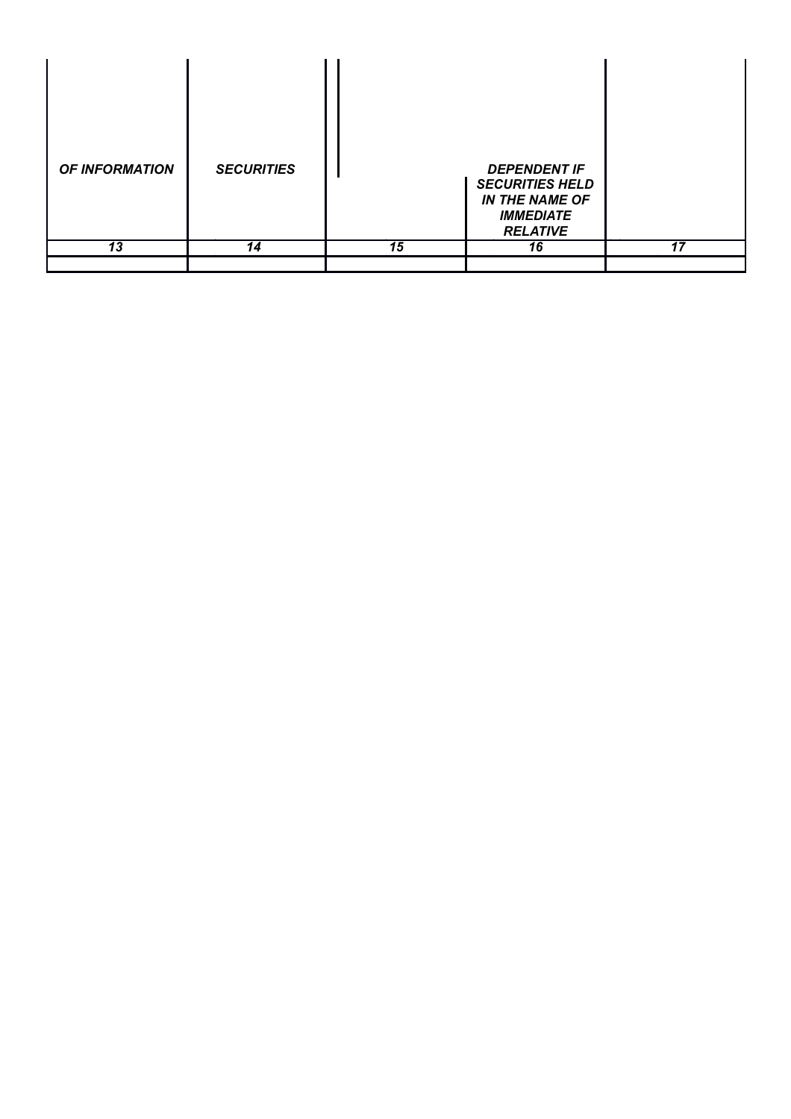| <b>OF INFORMATION</b> | <b>SECURITIES</b> |                 | <b>DEPENDENT IF</b><br><b>SECURITIES HELD</b><br><b>IN THE NAME OF</b><br><b>IMMEDIATE</b><br><b>RELATIVE</b> |    |
|-----------------------|-------------------|-----------------|---------------------------------------------------------------------------------------------------------------|----|
| $\overline{13}$       | 14                | $\overline{15}$ | 16                                                                                                            | 17 |
|                       |                   |                 |                                                                                                               |    |